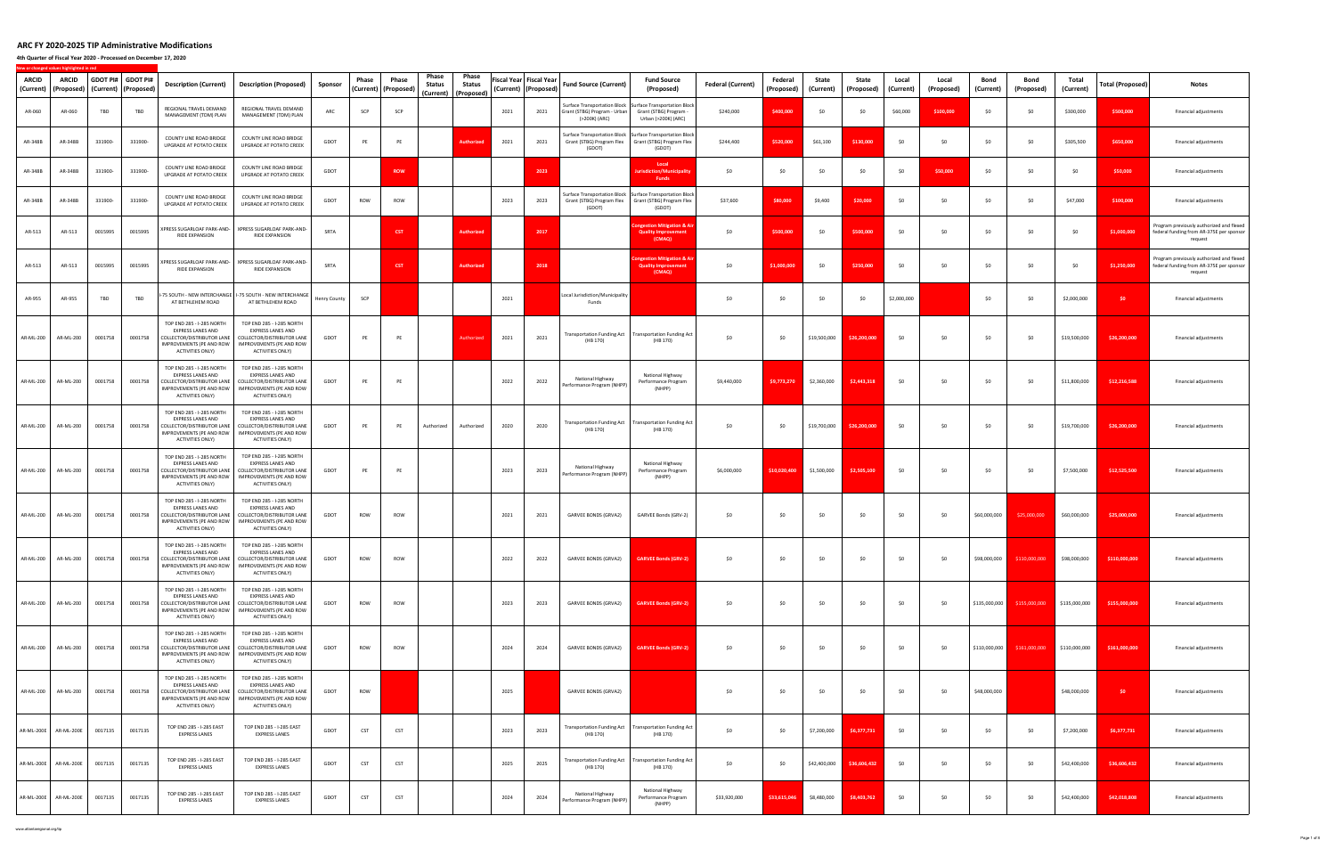**4th Quarter of Fiscal Year 2020 ‐ Processed on December 17, 2020**

|                     |                       |         |                                           |                                                                                                                                            |                                                                                                                                                                                             |              |            |                                 | Phase      | Phase                                   |      |                                                   |                                                |                                                                                                                            |                          |                       |                    |                     |                    |                     |                   |                                                       |                    |                         |                                                                                                 |
|---------------------|-----------------------|---------|-------------------------------------------|--------------------------------------------------------------------------------------------------------------------------------------------|---------------------------------------------------------------------------------------------------------------------------------------------------------------------------------------------|--------------|------------|---------------------------------|------------|-----------------------------------------|------|---------------------------------------------------|------------------------------------------------|----------------------------------------------------------------------------------------------------------------------------|--------------------------|-----------------------|--------------------|---------------------|--------------------|---------------------|-------------------|-------------------------------------------------------|--------------------|-------------------------|-------------------------------------------------------------------------------------------------|
| ARCID<br>(Current)  | ARCID<br>(Proposed)   |         | GDOT PI# GDOT PI#<br>(Current) (Proposed) | <b>Description (Current)</b>                                                                                                               | <b>Description (Proposed)</b>                                                                                                                                                               | Sponsor      | Phase      | Phase<br>(Current)   (Proposed) | Status     | <b>Status</b><br>(Current)   (Proposed) |      | Fiscal Year Fiscal Year<br>(Current)   (Proposed) | <b>Fund Source (Current)</b>                   | <b>Fund Source</b><br>(Proposed)                                                                                           | <b>Federal (Current)</b> | Federal<br>(Proposed) | State<br>(Current) | State<br>(Proposed) | Local<br>(Current) | Local<br>(Proposed) | Bond<br>(Current) | Bond<br>(Proposed)                                    | Total<br>(Current) | <b>Total (Proposed)</b> | Notes                                                                                           |
| AR-060              | AR-060                | TBD     | TBD                                       | REGIONAL TRAVEL DEMAND<br>MANAGEMENT (TDM) PLAN                                                                                            | REGIONAL TRAVEL DEMAND<br>MANAGEMENT (TDM) PLAN                                                                                                                                             | ARC          | SCP        | SCP                             |            |                                         | 2021 | 2021                                              | Grant (STBG) Program - Urban<br>(>200K) (ARC)  | Surface Transportation Block   Surface Transportation Block<br>Grant (STBG) Program<br>Urban (>200K) (ARC)                 | \$240,000                | \$400,000             | \$0                | \$0                 | \$60,000           | \$100,000           | \$0               | \$0                                                   | \$300,000          | \$500,000               | Financial adjustments                                                                           |
| AR-348B             | AR-348B               | 331900- | 331900-                                   | COUNTY LINE ROAD BRIDGE<br><b>UPGRADE AT POTATO CREEK</b>                                                                                  | COUNTY LINE ROAD BRIDGE<br>UPGRADE AT POTATO CREEK                                                                                                                                          | GDOT         | PE         | PE                              |            | Authori:                                | 2021 | 2021                                              | (GDOT)                                         | Surface Transportation Block Surface Transportation Block<br>Grant (STBG) Program Flex Grant (STBG) Program Flex<br>(GDOT) | \$244,400                | \$520,000             | \$61,100           | \$130,000           | \$0                | \$0                 | \$0               | <b>SO</b>                                             | \$305,500          | \$650,000               | Financial adjustments                                                                           |
| AR-348B             | AR-348B               | 331900- | 331900-                                   | COUNTY LINE ROAD BRIDGE<br>UPGRADE AT POTATO CREEK                                                                                         | COUNTY LINE ROAD BRIDGE<br>UPGRADE AT POTATO CREEK                                                                                                                                          | GDOT         |            | <b>ROW</b>                      |            |                                         |      | 2023                                              |                                                | Local<br>ion/Mu<br><b>Funds</b>                                                                                            | \$0                      | \$0                   | \$0                | \$0                 | \$0                | \$50,000            | \$0               | \$0                                                   | \$0                | \$50,000                | Financial adjustments                                                                           |
| AR-348B             | AR-348B               | 331900- | 331900-                                   | COUNTY LINE ROAD BRIDGE<br>UPGRADE AT POTATO CREEK                                                                                         | COUNTY LINE ROAD BRIDGE<br>UPGRADE AT POTATO CREEK                                                                                                                                          | GDOT         | ROW        | ROW                             |            |                                         | 2023 | 2023                                              | (GDOT)                                         | Surface Transportation Block Surface Transportation Block<br>Grant (STBG) Program Flex Grant (STBG) Program Flex<br>(GDOT) | \$37,600                 | \$80,000              | \$9,400            | \$20,000            | \$0                | \$0                 | \$0               | <b>SO</b>                                             | \$47,000           | \$100,000               | Financial adjustments                                                                           |
| AR-513              | AR-513                | 0015995 | 0015995                                   | XPRESS SUGARLOAF PARK-AND-<br>RIDE EXPANSION                                                                                               | XPRESS SUGARLOAF PARK-AND-<br>RIDE EXPANSION                                                                                                                                                | SRTA         |            | <b>CST</b>                      |            | <b>Authorize</b>                        |      | 2017                                              |                                                | ngestion Mitigation &<br><b>Quality Improvemen</b><br>(CMAQ)                                                               | \$0                      | \$500,000             | \$0                | \$500,000           | \$0                | \$0                 | \$0               | \$0                                                   | \$0                | \$1,000,000             | Program previously authorized and flexed<br>federal funding from AR-375E per sponsor<br>request |
| AR-513              | AR-513                | 0015995 | 0015995                                   | XPRESS SUGARLOAF PARK-AND-<br>RIDE EXPANSION                                                                                               | XPRESS SUGARLOAF PARK-AND-<br>RIDE EXPANSION                                                                                                                                                | SRTA         |            | <b>CST</b>                      |            | <b>Authorized</b>                       |      | 2018                                              |                                                | ngestion Mitigation & A<br><b>Quality Improvement</b><br>(CMAQ)                                                            | \$0                      | \$1,000,000           | \$0                | \$250,000           | \$0                | \$0                 | \$0               | \$0                                                   | \$0                | \$1,250,000             | Program previously authorized and flexed<br>federal funding from AR-375E per sponsor<br>request |
| AR-955              | AR-955                | TBD     | TBD                                       | -75 SOUTH - NEW INTERCHANGE<br>AT BETHLEHEM ROAD                                                                                           | -75 SOUTH - NEW INTERCHANGE<br>AT BETHLEHEM ROAD                                                                                                                                            | Henry County | SCP        |                                 |            |                                         | 2021 |                                                   | Local Jurisdiction/Municipality<br>Funds       |                                                                                                                            | \$0                      | 50                    | \$0                | \$0                 | \$2,000,000        |                     | \$0               | - \$0                                                 | \$2,000,000        | \$0                     | Financial adjustments                                                                           |
| AR-ML-200           | AR-ML-200             | 0001758 | 0001758                                   | TOP END 285 - I-285 NORTH<br><b>EXPRESS LANES AND</b><br>COLLECTOR/DISTRIBUTOR LANE<br>IMPROVEMENTS (PE AND ROW<br>ACTIVITIES ONLY)        | TOP END 285 - I-285 NORTH<br><b>EXPRESS LANES AND</b><br>COLLECTOR/DISTRIBUTOR LANE<br>IMPROVEMENTS (PE AND ROW<br>ACTIVITIES ONLY)                                                         | GDOT         | PE         | PE                              |            | Authorize                               | 2021 | 2021                                              | (HB 170)                                       | Transportation Funding Act   Transportation Funding Act<br>(HB 170)                                                        | \$0                      | \$0                   | \$19,500,000       | \$26,200,000        | \$0                | \$0                 | \$0               | <b>SO</b>                                             | \$19,500,000       | \$26,200,000            | Financial adjustments                                                                           |
| AR-ML-200           | AR-ML-200             | 0001758 | 0001758                                   | TOP END 285 - I-285 NORTH<br><b>EXPRESS LANES AND</b><br>COLLECTOR/DISTRIBUTOR LANE<br>IMPROVEMENTS (PE AND ROW<br>ACTIVITIES ONLY)        | TOP END 285 - I-285 NORTH<br><b>EXPRESS LANES AND</b><br>COLLECTOR/DISTRIBUTOR LANE<br>IMPROVEMENTS (PE AND ROW<br>ACTIVITIES ONLY)                                                         | GDOT         | PE         | PE                              |            |                                         | 2022 | 2022                                              | National Highway<br>Performance Program (NHPP) | National Highway<br>Performance Program<br>(NHPP)                                                                          | \$9,440,000              | \$9,773,270           | \$2,360,000        | \$2,443,318         | \$0                | \$0                 | \$0               | <b>SO</b>                                             | \$11,800,000       | \$12,216,588            | Financial adjustments                                                                           |
| AR-ML-200           | AR-ML-200             | 0001758 | 0001758                                   | TOP END 285 - I-285 NORTH<br><b>EXPRESS LANES AND</b><br>COLLECTOR/DISTRIBUTOR LANE<br>IMPROVEMENTS (PE AND ROW<br>ACTIVITIES ONLY)        | TOP END 285 - I-285 NORTH<br><b>EXPRESS LANES AND</b><br>COLLECTOR/DISTRIBUTOR LANE<br>IMPROVEMENTS (PE AND ROW<br>ACTIVITIES ONLY)                                                         | GDOT         | PE         | PE                              | Authorized | Authorized                              | 2020 | 2020                                              | (HB 170)                                       | Transportation Funding Act   Transportation Funding Act<br>(HB 170)                                                        | \$0                      | \$0                   | \$19,700,000       | \$26,200,000        | \$0                | \$0                 | \$0               | - \$0                                                 | \$19,700,000       | \$26,200,000            | Financial adjustments                                                                           |
| AR-ML-200           | AR-ML-200             | 0001758 | 0001758                                   | TOP END 285 - I-285 NORTH<br>EXPRESS LANES AND<br>COLLECTOR/DISTRIBUTOR LANE<br>IMPROVEMENTS (PE AND ROW<br>ACTIVITIES ONLY)               | TOP END 285 - I-285 NORTH<br><b>EXPRESS LANES AND</b><br>COLLECTOR/DISTRIBUTOR LANE<br>IMPROVEMENTS (PE AND ROW<br>ACTIVITIES ONLY)                                                         | GDOT         | PE         | PE                              |            |                                         | 2023 | 2023                                              | National Highway<br>Performance Program (NHPP) | National Highway<br>Performance Program<br>(NHPP)                                                                          | \$6,000,000              | \$10,020,400          | \$1,500,000        | \$2,505,100         | \$0                | \$0                 | \$0               | \$0                                                   | \$7,500,000        | \$12,525,500            | Financial adjustments                                                                           |
| AR-ML-200           | AR-ML-200             | 0001758 | 0001758                                   | TOP END 285 - I-285 NORTH<br><b>EXPRESS LANES AND</b><br>COLLECTOR/DISTRIBUTOR LANE<br>IMPROVEMENTS (PE AND ROW<br>ACTIVITIES ONLY)        | TOP END 285 - I-285 NORTH<br><b>EXPRESS LANES AND</b><br>COLLECTOR/DISTRIBUTOR LANE<br><b>IMPROVEMENTS (PE AND ROW</b><br>ACTIVITIES ONLY)                                                  | GDOT         | ROW        | ROW                             |            |                                         | 2021 | 2021                                              | GARVEE BONDS (GRVA2)                           | GARVEE Bonds (GRV-2)                                                                                                       | \$0                      | \$0                   | \$0                | \$0                 | \$0                | \$0                 | \$60,000,000      | \$25,000,000                                          | \$60,000,000       | \$25,000,000            | Financial adjustments                                                                           |
|                     |                       |         | AR-ML-200 AR-ML-200 0001758 0001758       | TOP END 285 - I-285 NORTH<br><b>EXPRESS LANES AND</b><br>ACTIVITIES ONLY)                                                                  | TOP END 285 - I-285 NORTH<br><b>EXPRESS LANES AND</b><br>COLLECTOR/DISTRIBUTOR LANE   COLLECTOR/DISTRIBUTOR LANE<br>IMPROVEMENTS (PE AND ROW   IMPROVEMENTS (PE AND ROW<br>ACTIVITIES ONLY) | GDOT         | ROW        | ROW                             |            |                                         | 2022 | 2022                                              |                                                | GARVEE BONDS (GRVA2) <b>GARVEE Bonds (GRV-2)</b>                                                                           | \$0                      | \$0                   | \$0                | \$0                 |                    |                     |                   | \$98,000,000 \$110,000,000 \$98,000,000 \$110,000,000 |                    |                         | Financial adjustments                                                                           |
| AR-ML-200           | AR-ML-200             | 0001758 | 0001758                                   | TOP END 285 - I-285 NORTH<br>EXPRESS LANES AND<br>COLLECTOR/DISTRIBUTOR LANE<br>IMPROVEMENTS (PE AND ROW<br>ACTIVITIES ONLY)               | TOP END 285 - I-285 NORTH<br>EXPRESS LANES AND<br>COLLECTOR/DISTRIBUTOR LANE<br>IMPROVEMENTS (PE AND ROW<br>ACTIVITIES ONLY)                                                                | GDOT         | ROW        | ROW                             |            |                                         | 2023 | 2023                                              | GARVEE BONDS (GRVA2)                           | <b>GARVEE Bonds (GRV-2)</b>                                                                                                | \$0                      | \$0                   | \$0                | \$0                 | \$0                | \$0                 | \$135,000,000     | \$155,000,000                                         | \$135,000,000      | \$155,000,000           | Financial adjustments                                                                           |
| AR-ML-200           | AR-ML-200             | 0001758 | 0001758                                   | TOP END 285 - I-285 NORTH<br>EXPRESS LANES AND<br>COLLECTOR/DISTRIBUTOR LANE<br>IMPROVEMENTS (PE AND ROW<br>ACTIVITIES ONLY)               | TOP END 285 - I-285 NORTH<br>EXPRESS LANES AND<br>COLLECTOR/DISTRIBUTOR LANE<br>IMPROVEMENTS (PE AND ROW<br>ACTIVITIES ONLY)                                                                | GDOT         | ROW        | ROW                             |            |                                         | 2024 | 2024                                              | GARVEE BONDS (GRVA2)                           | <b>GARVEE Bonds (GRV-2)</b>                                                                                                | \$0                      | \$0                   | \$0                | \$0                 | \$0                | \$0                 | \$110,000,000     | \$161,000,000                                         | \$110,000,000      | \$161,000,000           | Financial adjustments                                                                           |
| AR-ML-200 AR-ML-200 |                       | 0001758 | 0001758                                   | TOP END 285 - I-285 NORTH<br><b>EXPRESS LANES AND</b><br>COLLECTOR/DISTRIBUTOR LANE<br>IMPROVEMENTS (PE AND ROW<br><b>ACTIVITIES ONLY)</b> | TOP END 285 - I-285 NORTH<br><b>EXPRESS LANES AND</b><br>COLLECTOR/DISTRIBUTOR LANE<br>IMPROVEMENTS (PE AND ROW<br>ACTIVITIES ONLY)                                                         | GDOT         | ROW        |                                 |            |                                         | 2025 |                                                   | GARVEE BONDS (GRVA2)                           |                                                                                                                            | \$0                      | \$0                   | \$0                | \$0                 | \$0                | \$0                 | \$48,000,000      |                                                       | \$48,000,000       | \$0                     | Financial adjustments                                                                           |
|                     | AR-ML-200E AR-ML-200E | 0017135 | 0017135                                   | TOP END 285 - I-285 EAST<br><b>EXPRESS LANES</b>                                                                                           | TOP END 285 - I-285 EAST<br><b>EXPRESS LANES</b>                                                                                                                                            | GDOT         | <b>CST</b> | CST                             |            |                                         | 2023 | 2023                                              | (HB 170)                                       | Transportation Funding Act   Transportation Funding Act<br>(HB 170)                                                        | \$0                      | \$0                   | \$7,200,000        | \$6,377,731         | \$0                | \$0                 | \$0               | \$0                                                   | \$7,200,000        | \$6,377,731             | Financial adjustments                                                                           |
|                     | AR-ML-200E AR-ML-200E | 0017135 | 0017135                                   | TOP END 285 - I-285 EAST<br><b>EXPRESS LANES</b>                                                                                           | TOP END 285 - I-285 EAST<br><b>EXPRESS LANES</b>                                                                                                                                            | GDOT         | <b>CST</b> | CST                             |            |                                         | 2025 | 2025                                              | (HB 170)                                       | Transportation Funding Act   Transportation Funding Act<br>(HB 170)                                                        | \$0                      | \$0                   | \$42,400,000       | \$36,606,432        | \$0                | \$0                 | \$0               | \$0                                                   | \$42,400,000       | \$36,606,432            | Financial adjustments                                                                           |
|                     | AR-ML-200E AR-ML-200E | 0017135 | 0017135                                   | TOP END 285 - I-285 EAST<br><b>EXPRESS LANES</b>                                                                                           | TOP END 285 - I-285 EAST<br><b>EXPRESS LANES</b>                                                                                                                                            | GDOT         | CST        | CST                             |            |                                         | 2024 | 2024                                              | National Highway<br>Performance Program (NHPP) | National Highway<br>Performance Program<br>(NHPP)                                                                          | \$33,920,000             | \$33,615,046          | \$8,480,000        | \$8,403,762         | \$0                | \$0                 | \$0               | \$0                                                   | \$42,400,000       | \$42,018,808            | Financial adjustments                                                                           |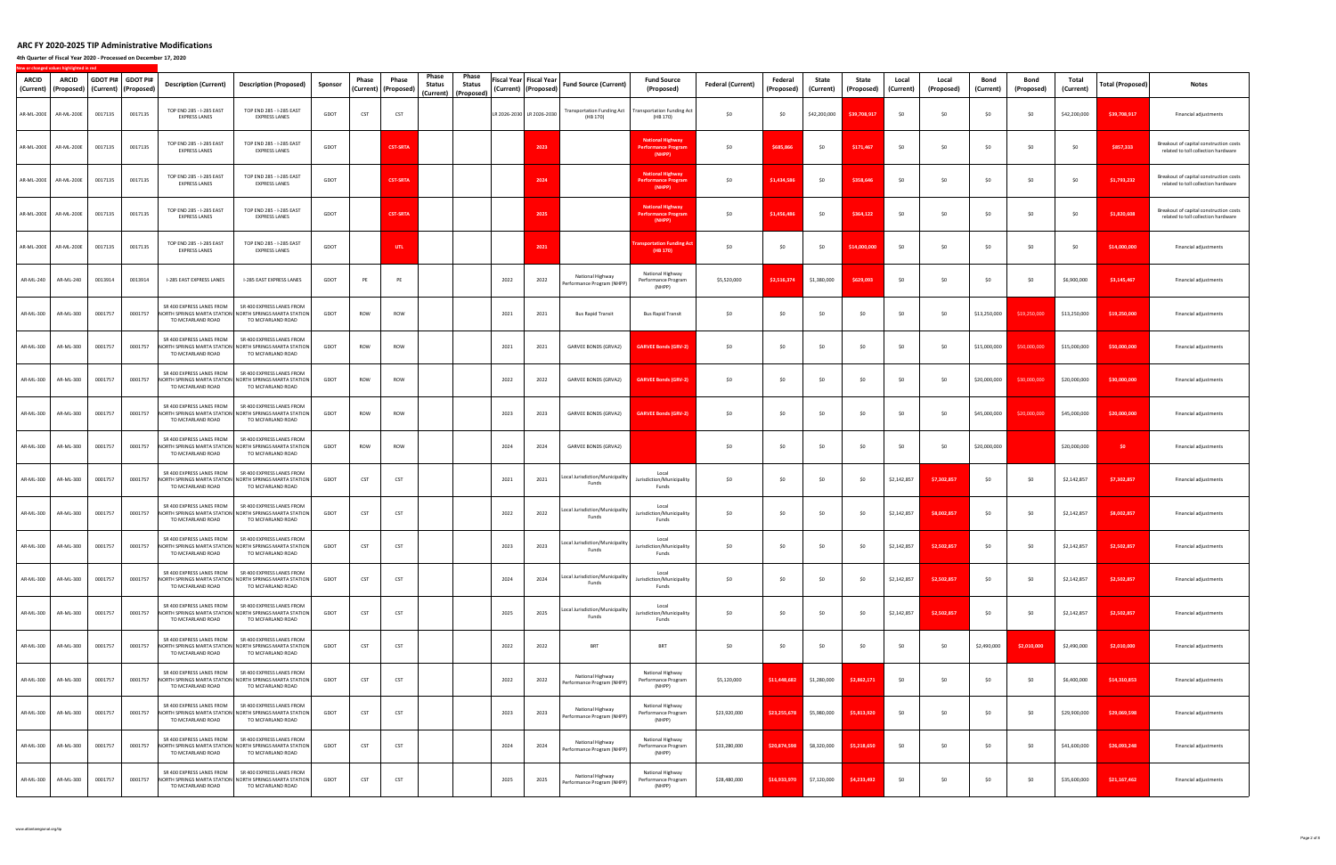**4th Quarter of Fiscal Year 2020 ‐ Processed on December 17, 2020**

| ARCID<br>(Current) | ARCID<br>(Proposed) | GDOT PI# GDOT PI#<br>(Current) (Proposed) |         | <b>Description (Current)</b>                     | <b>Description (Proposed)</b>                                                                             | Sponsor | Phase<br>(Current | Phase<br>(Proposed) | Phase<br>Status<br>(Current) (Proposed) | Phase<br><b>Status</b> | Fiscal Year Fiscal Year | (Current)   (Proposed)    | <b>Fund Source (Current)</b>                   | <b>Fund Source</b><br>(Proposed)                                | <b>Federal (Current)</b> | Federal<br>(Proposed) | State<br>(Current) | State<br>(Proposed) | Local<br>(Current) | Local<br>(Proposed) | Bond<br>(Current) | Bond<br>(Proposed) | Total<br>(Current) | Total (Proposed) | <b>Notes</b>                                                                  |
|--------------------|---------------------|-------------------------------------------|---------|--------------------------------------------------|-----------------------------------------------------------------------------------------------------------|---------|-------------------|---------------------|-----------------------------------------|------------------------|-------------------------|---------------------------|------------------------------------------------|-----------------------------------------------------------------|--------------------------|-----------------------|--------------------|---------------------|--------------------|---------------------|-------------------|--------------------|--------------------|------------------|-------------------------------------------------------------------------------|
| AR-ML-200E         | AR-ML-200E          | 0017135                                   | 0017135 | TOP END 285 - I-285 EAST<br><b>EXPRESS LANES</b> | TOP END 285 - I-285 EAST<br><b>EXPRESS LANES</b>                                                          | GDOT    | CST               | CST                 |                                         |                        |                         | LR 2026-2030 LR 2026-2030 | <b>Transportation Funding Act</b><br>(HB 170)  | <b>Transportation Funding Act</b><br>(HB 170)                   | \$0                      | \$0                   | \$42,200,000       | \$39,708,91         | \$0                | \$0                 | \$0               | 50                 | \$42,200,000       | \$39,708,917     | Financial adjustments                                                         |
| AR-ML-200E         | AR-ML-200E          | 0017135                                   | 0017135 | TOP END 285 - I-285 EAST<br><b>EXPRESS LANES</b> | TOP END 285 - I-285 EAST<br><b>EXPRESS LANES</b>                                                          | GDOT    |                   | <b>CST-SRTA</b>     |                                         |                        |                         | 2023                      |                                                | <b>National Highway</b><br><b>Performance Program</b><br>(NHPP) | \$0                      | \$685,86              | \$0                | \$171,46            | \$0                | \$0                 | \$0               | \$0                | \$0                | \$857,333        | Breakout of capital construction costs<br>related to toll collection hardware |
| AR-ML-200E         | AR-ML-200E          | 0017135                                   | 0017135 | TOP END 285 - I-285 EAST<br><b>EXPRESS LANES</b> | TOP END 285 - I-285 EAST<br><b>EXPRESS LANES</b>                                                          | GDOT    |                   | <b>CST-SRTA</b>     |                                         |                        |                         | 2024                      |                                                | <b>National Highway</b><br><b>Performance Program</b><br>(NHPP) | \$0                      | \$1,434,586           | \$0                | \$358,646           | \$0                | \$0                 | \$0               | \$0                | \$0                | \$1,793,232      | Breakout of capital construction costs<br>related to toll collection hardware |
| AR-ML-200E         | AR-ML-200E          | 0017135                                   | 0017135 | TOP END 285 - I-285 EAST<br><b>EXPRESS LANES</b> | TOP END 285 - I-285 EAST<br><b>EXPRESS LANES</b>                                                          | GDOT    |                   | <b>CST-SRTA</b>     |                                         |                        |                         | 2025                      |                                                | <b>National Highway</b><br><b>Performance Progran</b><br>(NHPP) | \$0                      | \$1,456,48            | \$0                | \$364,12            | \$0                | \$0                 | \$0               | 50                 | \$0                | \$1,820,608      | Breakout of capital construction costs<br>related to toll collection hardware |
| AR-ML-200E         | AR-ML-200E          | 0017135                                   | 0017135 | TOP END 285 - I-285 EAST<br><b>EXPRESS LANES</b> | TOP END 285 - I-285 EAST<br><b>EXPRESS LANES</b>                                                          | GDOT    |                   | UTL                 |                                         |                        |                         | 2021                      |                                                | portation Funding A<br>(HB 170)                                 | \$0                      | \$0                   | \$0                | \$14,000,00         | \$0                | \$0                 | \$0               | \$0                | \$0                | \$14,000,000     | Financial adjustments                                                         |
| AR-ML-240          | AR-ML-240           | 0013914                                   | 0013914 | I-285 EAST EXPRESS LANES                         | I-285 EAST EXPRESS LANES                                                                                  | GDOT    | PE                | PE                  |                                         |                        | 2022                    | 2022                      | National Highway<br>Performance Program (NHPP) | National Highway<br>Performance Program<br>(NHPP)               | \$5,520,000              | \$2,516.374           | \$1,380,000        | \$629,093           | \$0                | \$0                 | \$0               | 50                 | \$6,900,000        | \$3,145,467      | Financial adjustments                                                         |
| AR-ML-300          | AR-ML-300           | 0001757                                   | 0001757 | SR 400 EXPRESS LANES FROM<br>TO MCFARLAND ROAD   | SR 400 EXPRESS LANES FROM<br>NORTH SPRINGS MARTA STATION NORTH SPRINGS MARTA STATION<br>TO MCFARLAND ROAD | GDOT    | ROW               | ROW                 |                                         |                        | 2021                    | 2021                      | <b>Bus Rapid Transit</b>                       | <b>Bus Rapid Transit</b>                                        | \$0                      | \$0                   | \$0                | \$0                 | \$0                | \$0                 | \$13,250,000      | \$19,250,000       | \$13,250,000       | \$19,250,000     | Financial adjustments                                                         |
| AR-ML-300          | AR-ML-300           | 0001757                                   | 0001757 | SR 400 EXPRESS LANES FROM<br>TO MCFARLAND ROAD   | SR 400 EXPRESS LANES FROM<br>NORTH SPRINGS MARTA STATION NORTH SPRINGS MARTA STATION<br>TO MCFARLAND ROAD | GDOT    | ROW               | ROW                 |                                         |                        | 2021                    | 2021                      | GARVEE BONDS (GRVA2)                           | <b>GARVEE Bonds (GRV-2)</b>                                     | \$0                      | \$0                   | \$0                | \$0                 | \$0                | \$0                 | \$15,000,000      | \$50,000,000       | \$15,000,000       | \$50,000,000     | Financial adjustments                                                         |
| AR-ML-300          | AR-ML-300           | 0001757                                   | 0001757 | SR 400 EXPRESS LANES FROM<br>TO MCFARLAND ROAD   | SR 400 EXPRESS LANES FROM<br>NORTH SPRINGS MARTA STATION NORTH SPRINGS MARTA STATION<br>TO MCFARLAND ROAD | GDOT    | ROW               | ROW                 |                                         |                        | 2022                    | 2022                      | GARVEE BONDS (GRVA2)                           | <b>GARVEE Bonds (GRV-2)</b>                                     | \$0                      | \$0                   | \$0                | \$0                 | \$0                | \$0                 | \$20,000,000      | \$30,000,000       | \$20,000,000       | \$30,000,000     | Financial adjustments                                                         |
| AR-ML-300          | AR-ML-300           | 0001757                                   | 0001757 | SR 400 EXPRESS LANES FROM<br>TO MCFARLAND ROAD   | SR 400 EXPRESS LANES FROM<br>NORTH SPRINGS MARTA STATION NORTH SPRINGS MARTA STATION<br>TO MCFARLAND ROAD | GDOT    | ROW               | ROW                 |                                         |                        | 2023                    | 2023                      | GARVEE BONDS (GRVA2)                           | <b>GARVEE Bonds (GRV-2)</b>                                     | \$0                      | \$0                   | \$0                | \$0                 | \$0                | \$0                 | \$45,000,000      | \$20,000,000       | \$45,000,000       | \$20,000,000     | Financial adjustments                                                         |
| AR-ML-300          | AR-ML-300           | 0001757                                   | 0001757 | SR 400 EXPRESS LANES FROM<br>TO MCFARLAND ROAD   | SR 400 EXPRESS LANES FROM<br>NORTH SPRINGS MARTA STATION NORTH SPRINGS MARTA STATION<br>TO MCFARLAND ROAD | GDOT    | ROW               | ROW                 |                                         |                        | 2024                    | 2024                      | GARVEE BONDS (GRVA2)                           |                                                                 | \$0                      | \$0                   | \$0                | \$0                 | \$0                | \$0                 | \$20,000,000      |                    | \$20,000,000       | \$0              | Financial adjustments                                                         |
| AR-ML-300          | AR-ML-300           | 0001757                                   | 0001757 | SR 400 EXPRESS LANES FROM<br>TO MCFARLAND ROAD   | SR 400 EXPRESS LANES FROM<br>NORTH SPRINGS MARTA STATION NORTH SPRINGS MARTA STATION<br>TO MCFARLAND ROAD | GDOT    | <b>CST</b>        | CST                 |                                         |                        | 2021                    | 2021                      | Local Jurisdiction/Municipality<br>Funds       | Local<br>Jurisdiction/Municipality<br>Funds                     | \$0                      | \$0                   | \$0                | \$0                 | \$2,142,857        | \$7,302,857         | 50                | \$0                | \$2,142,857        | \$7,302,857      | Financial adjustments                                                         |
| AR-ML-300          | AR-ML-300           | 0001757                                   | 0001757 | SR 400 EXPRESS LANES FROM<br>TO MCFARLAND ROAD   | SR 400 EXPRESS LANES FROM<br>NORTH SPRINGS MARTA STATION NORTH SPRINGS MARTA STATION<br>TO MCFARLAND ROAD | GDOT    | CST               | CST                 |                                         |                        | 2022                    | 2022                      | ocal Jurisdiction/Municipality.<br>Funds       | Local<br>Jurisdiction/Municipality<br>Funds                     | \$0                      | \$0                   | \$0                | \$0                 | \$2,142,857        | \$8,002,857         | \$0               | - \$0              | \$2,142,857        | \$8,002,857      | Financial adjustments                                                         |
|                    | AR-ML-300 AR-ML-300 | 0001757                                   | 0001757 | SR 400 EXPRESS LANES FROM<br>TO MCFARLAND ROAD   | SR 400 EXPRESS LANES FROM<br>NORTH SPRINGS MARTA STATION NORTH SPRINGS MARTA STATION<br>TO MCFARLAND ROAD | GDOT    | CST               | CST                 |                                         |                        | 2023                    | 2023                      | Local Jurisdiction/Municipality<br>Funds       | Local<br>Jurisdiction/Municipality<br>Funds                     | \$0                      | \$0                   | \$0                | \$0                 | \$2,142,857        | \$2,502,857         | \$0               | 50                 | \$2,142,857        | \$2,502,857      | Financial adjustments                                                         |
| AR-ML-300          | AR-ML-300           | 0001757                                   | 0001757 | SR 400 EXPRESS LANES FROM<br>TO MCFARLAND ROAD   | SR 400 EXPRESS LANES FROM<br>NORTH SPRINGS MARTA STATION NORTH SPRINGS MARTA STATION<br>TO MCFARLAND ROAD | GDOT    | <b>CST</b>        | CST                 |                                         |                        | 2024                    | 2024                      | Local Jurisdiction/Municipality<br>Funds       | Local<br>Jurisdiction/Municipality<br>Funds                     | \$0                      | \$0                   | \$0                | \$0                 | \$2,142,857        | \$2,502,857         | \$0               | \$0                | \$2,142,857        | \$2,502,857      | Financial adjustments                                                         |
| AR-ML-300          | AR-ML-300           | 0001757                                   | 0001757 | SR 400 EXPRESS LANES FROM<br>TO MCFARLAND ROAD   | SR 400 EXPRESS LANES FROM<br>NORTH SPRINGS MARTA STATION NORTH SPRINGS MARTA STATION<br>TO MCFARLAND ROAD | GDOT    | <b>CST</b>        | CST                 |                                         |                        | 2025                    | 2025                      | Local Jurisdiction/Municipality<br>Funds       | Local<br>Jurisdiction/Municipality<br>Funds                     | \$0                      | \$0                   | \$0                | \$0                 | \$2,142,857        | \$2,502,857         | \$0               | - \$0              | \$2,142,857        | \$2,502,857      | Financial adjustments                                                         |
| AR-ML-300          | AR-ML-300           | 0001757                                   | 0001757 | SR 400 EXPRESS LANES FROM<br>TO MCFARLAND ROAD   | SR 400 EXPRESS LANES FROM<br>NORTH SPRINGS MARTA STATION NORTH SPRINGS MARTA STATION<br>TO MCFARLAND ROAD | GDOT    | CST               | CST                 |                                         |                        | 2022                    | 2022                      | <b>BRT</b>                                     | <b>BRT</b>                                                      | \$0                      | \$0                   | \$0                | \$0                 | \$0                | \$0                 | \$2,490,000       | \$2,010,000        | \$2,490,000        | \$2,010,000      | Financial adjustments                                                         |
| AR-ML-300          | AR-ML-300           | 0001757                                   | 0001757 | SR 400 EXPRESS LANES FROM<br>TO MCFARLAND ROAD   | SR 400 EXPRESS LANES FROM<br>NORTH SPRINGS MARTA STATION NORTH SPRINGS MARTA STATION<br>TO MCFARLAND ROAD | GDOT    | <b>CST</b>        | CST                 |                                         |                        | 2022                    | 2022                      | National Highway<br>Performance Program (NHPP) | National Highway<br>Performance Program<br>(NHPP)               | \$5,120,000              | \$11,448,682          | \$1,280,000        | \$2,862,171         | \$0                | \$0                 | \$0               | 50                 | \$6,400,000        | \$14,310,853     | Financial adjustments                                                         |
| AR-ML-300          | AR-ML-300           | 0001757                                   | 0001757 | SR 400 EXPRESS LANES FROM<br>TO MCFARLAND ROAD   | SR 400 EXPRESS LANES FROM<br>NORTH SPRINGS MARTA STATION NORTH SPRINGS MARTA STATION<br>TO MCFARLAND ROAD | GDOT    | <b>CST</b>        | CST                 |                                         |                        | 2023                    | 2023                      | National Highway<br>Performance Program (NHPP) | National Highway<br>Performance Program<br>(NHPP)               | \$23,920,000             | \$23,255,678          | \$5,980,000        | \$5,813,920         | \$0                | \$0                 | \$0               | \$0                | \$29,900,000       | \$29,069,598     | Financial adjustments                                                         |
| AR-ML-300          | AR-ML-300           | 0001757                                   | 0001757 | SR 400 EXPRESS LANES FROM<br>TO MCFARLAND ROAD   | SR 400 EXPRESS LANES FROM<br>NORTH SPRINGS MARTA STATION NORTH SPRINGS MARTA STATION<br>TO MCFARLAND ROAD | GDOT    | CST               | CST                 |                                         |                        | 2024                    | 2024                      | National Highway<br>Performance Program (NHPP) | National Highway<br>Performance Program<br>(NHPP)               | \$33,280,000             | \$20,874,598          | \$8,320,000        | \$5,218,65          | \$0                | \$0                 | \$0               | \$0                | \$41,600,000       | \$26,093,248     | Financial adjustments                                                         |
| AR-ML-300          | AR-ML-300           | 0001757                                   | 0001757 | SR 400 EXPRESS LANES FROM<br>TO MCFARLAND ROAD   | SR 400 EXPRESS LANES FROM<br>NORTH SPRINGS MARTA STATION NORTH SPRINGS MARTA STATION<br>TO MCFARLAND ROAD | GDOT    | CST               | CST                 |                                         |                        | 2025                    | 2025                      | National Highway<br>Performance Program (NHPP) | National Highway<br>Performance Program<br>(NHPP)               | \$28,480,000             | \$16,933,970          | \$7,120,000        | \$4,233,492         | \$0                | \$0                 | \$0               | \$0                | \$35,600,000       | \$21,167,462     | Financial adjustments                                                         |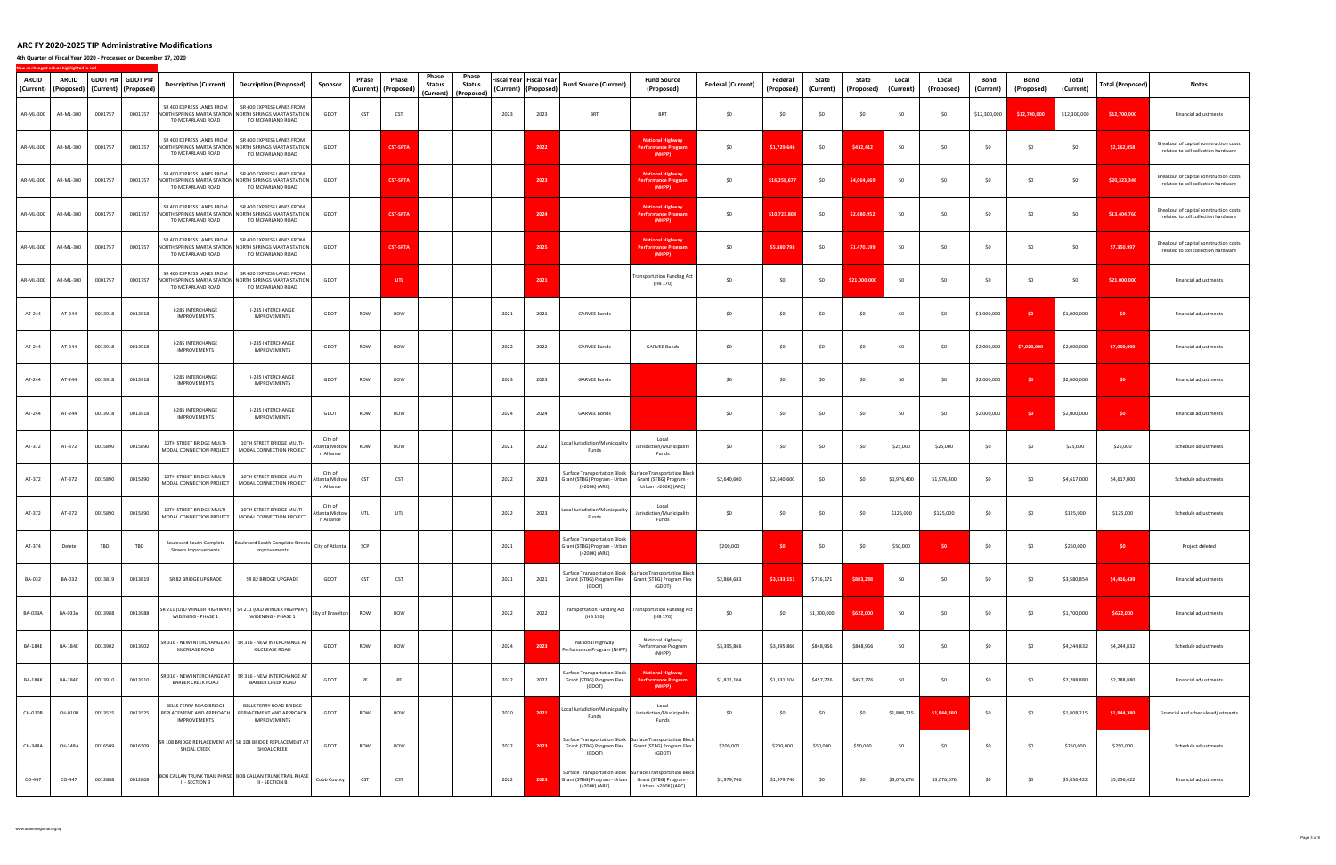**4th Quarter of Fiscal Year 2020 ‐ Processed on December 17, 2020**

**New**

**or changed values highlighted in red**

| ARCID<br>(Current) | <b>ARCID</b><br>(Proposed) | GDOT PI# GDOT PI#<br>(Current) | (Proposed) | <b>Description (Current)</b>                                               | Description (Proposed)                                                                                    | Sponsor                                  | Phase      | Phase<br>(Current) (Proposed) | Phase<br>Phase<br><b>Status</b><br>Status<br>(Current)<br>(Proposed) |      | Fiscal Year  Fiscal Year<br>(Current) (Proposed) | <b>Fund Source (Current)</b>                                                         | <b>Fund Source</b><br>(Proposed)                                                                                             | <b>Federal (Current)</b> | Federal<br>(Proposed) | State<br>(Current) | State<br>(Proposed) | Local<br>(Current) | Local<br>(Proposed) | Bond<br>(Current) | Bond<br>(Proposed) | Total<br>(Current) | Total (Proposed) | Notes                                                                         |
|--------------------|----------------------------|--------------------------------|------------|----------------------------------------------------------------------------|-----------------------------------------------------------------------------------------------------------|------------------------------------------|------------|-------------------------------|----------------------------------------------------------------------|------|--------------------------------------------------|--------------------------------------------------------------------------------------|------------------------------------------------------------------------------------------------------------------------------|--------------------------|-----------------------|--------------------|---------------------|--------------------|---------------------|-------------------|--------------------|--------------------|------------------|-------------------------------------------------------------------------------|
| AR-ML-300          | AR-ML-300                  | 0001757                        | 0001757    | SR 400 EXPRESS LANES FROM<br>TO MCFARLAND ROAD                             | SR 400 EXPRESS LANES FROM<br>NORTH SPRINGS MARTA STATION NORTH SPRINGS MARTA STATION<br>TO MCFARLAND ROAD | GDOT                                     | CST        | CST                           |                                                                      | 2023 | 2023                                             | <b>BRT</b>                                                                           | <b>BRT</b>                                                                                                                   | \$0                      | \$0                   | \$0                | \$0                 | \$0                | \$0                 | \$12,300,000      | \$12,700,000       | \$12,300,000       | \$12,700,000     | Financial adjustments                                                         |
| AR-ML-300          | AR-ML-300                  | 0001757                        | 0001757    | SR 400 EXPRESS LANES FROM<br>TO MCFARLAND ROAD                             | SR 400 EXPRESS LANES FROM<br>NORTH SPRINGS MARTA STATION NORTH SPRINGS MARTA STATION<br>TO MCFARLAND ROAD | GDOT                                     |            | <b>CST-SRTA</b>               |                                                                      |      | 2022                                             |                                                                                      | <b>National Highway</b><br><b>Performance Program</b><br>(NHPP)                                                              | \$0                      | \$1,729,646           | \$0                | \$432,412           | \$0                | \$0                 | \$0               | \$0                | \$0                | \$2,162,058      | Breakout of capital construction costs<br>related to toll collection hardware |
| AR-ML-300          | AR-ML-300                  | 0001757                        | 0001757    | SR 400 EXPRESS LANES FROM<br>TO MCFARLAND ROAD                             | SR 400 EXPRESS LANES FROM<br>NORTH SPRINGS MARTA STATION NORTH SPRINGS MARTA STATION<br>TO MCFARLAND ROAD | GDOT                                     |            | <b>CST-SRTA</b>               |                                                                      |      | 2023                                             |                                                                                      | <b>National Highway</b><br><b>Performance Prograi</b><br>(NHPP)                                                              | \$0                      | \$16,258,67           | \$0                | \$4,064,66          | \$0                | \$0                 | \$0               | \$0                | \$0                | \$20,323,346     | Breakout of capital construction costs<br>related to toll collection hardware |
| AR-ML-300          | AR-ML-300                  | 0001757                        | 0001757    | SR 400 EXPRESS LANES FROM<br>TO MCFARLAND ROAD                             | SR 400 EXPRESS LANES FROM<br>NORTH SPRINGS MARTA STATION NORTH SPRINGS MARTA STATION<br>TO MCFARLAND ROAD | GDOT                                     |            | <b>CST-SRTA</b>               |                                                                      |      | 2024                                             |                                                                                      | <b>National Highway</b><br><b>Performance Program</b><br>(NHPP)                                                              | \$0                      | \$10,723,808          | \$0                | \$2,680,952         | \$0                | \$0                 | \$0               | \$0                | \$0                | \$13,404,760     | Breakout of capital construction costs<br>related to toll collection hardware |
| AR-ML-300          | AR-ML-300                  | 0001757                        | 0001757    | SR 400 EXPRESS LANES FROM<br>TO MCFARLAND ROAD                             | SR 400 EXPRESS LANES FROM<br>NORTH SPRINGS MARTA STATION NORTH SPRINGS MARTA STATION<br>TO MCFARLAND ROAD | GDOT                                     |            | <b>CST-SRTA</b>               |                                                                      |      | 2025                                             |                                                                                      | <b>National Highway</b><br><b>Performance Program</b><br>(NHPP)                                                              | \$0                      | \$5,880,798           | \$0                | \$1,470,19          | \$0                | \$0                 | \$0               | \$0                | \$0                | \$7,350,997      | Breakout of capital construction costs<br>related to toll collection hardware |
| AR-ML-300          | AR-ML-300                  | 0001757                        | 0001757    | SR 400 EXPRESS LANES FROM<br>TO MCFARLAND ROAD                             | SR 400 EXPRESS LANES FROM<br>NORTH SPRINGS MARTA STATION NORTH SPRINGS MARTA STATION<br>TO MCFARLAND ROAD | GDOT                                     |            | UTL                           |                                                                      |      | 2021                                             |                                                                                      | <b>Transportation Funding Act</b><br>(HB 170)                                                                                | \$0                      | \$0                   | \$0                | \$21,000,000        | \$0                | \$0                 | \$0               | \$0                | \$0                | \$21,000,000     | Financial adjustments                                                         |
| AT-244             | AT-244                     | 0013918                        | 0013918    | I-285 INTERCHANGE<br><b>IMPROVEMENTS</b>                                   | I-285 INTERCHANGE<br><b>IMPROVEMENTS</b>                                                                  | GDOT                                     | ROW        | ROW                           |                                                                      | 2021 | 2021                                             | <b>GARVEE Bonds</b>                                                                  |                                                                                                                              | \$0                      | \$0                   | \$0                | \$0                 | \$0                | \$0                 | \$1,000,000       | - \$0              | \$1,000,000        | \$0              | Financial adjustments                                                         |
| AT-244             | AT-244                     | 0013918                        | 0013918    | I-285 INTERCHANGE<br>IMPROVEMENTS                                          | I-285 INTERCHANGE<br><b>IMPROVEMENTS</b>                                                                  | GDOT                                     | ROW        | ROW                           |                                                                      | 2022 | 2022                                             | <b>GARVEE Bonds</b>                                                                  | <b>GARVEE Bonds</b>                                                                                                          | \$0                      | \$0                   | \$0                | \$0                 | \$0                | \$0                 | \$2,000,000       | \$7,000,000        | \$2,000,000        | \$7,000,000      | Financial adjustments                                                         |
| AT-244             | AT-244                     | 0013918                        | 0013918    | I-285 INTERCHANGE<br>IMPROVEMENTS                                          | I-285 INTERCHANGE<br><b>IMPROVEMENTS</b>                                                                  | GDOT                                     | ROW        | ROW                           |                                                                      | 2023 | 2023                                             | <b>GARVEE Bonds</b>                                                                  |                                                                                                                              | \$0                      | \$0                   | \$0                | \$0                 | \$0                | \$0                 | \$2,000,000       | - \$0              | \$2,000,000        | \$0              | Financial adjustments                                                         |
| AT-244             | AT-244                     | 0013918                        | 0013918    | I-285 INTERCHANGE<br><b>IMPROVEMENTS</b>                                   | I-285 INTERCHANGE<br><b>IMPROVEMENTS</b>                                                                  | GDOT                                     | ROW        | ROW                           |                                                                      | 2024 | 2024                                             | <b>GARVEE Bonds</b>                                                                  |                                                                                                                              | \$0                      | \$0                   | \$0                | \$0                 | \$0                | \$0                 | \$2,000,000       | - \$0              | \$2,000,000        | \$0              | Financial adjustments                                                         |
| AT-372             | AT-372                     | 0015890                        | 0015890    | 10TH STREET BRIDGE MULTI-<br>MODAL CONNECTION PROJECT                      | 10TH STREET BRIDGE MULTI-<br>MODAL CONNECTION PROJECT                                                     | City of<br>Atlanta, Midtow<br>n Alliance | ROW        | ROW                           |                                                                      | 2021 | 2022                                             | Local Jurisdiction/Municipality<br>Funds                                             | Local<br>Jurisdiction/Municipality<br>Funds                                                                                  | \$0                      | \$0                   | \$0                | \$0                 | \$25,000           | \$25,000            | \$0               | - \$0              | \$25,000           | \$25,000         | Schedule adjustments                                                          |
| AT-372             | AT-372                     | 0015890                        | 0015890    | 10TH STREET BRIDGE MULTI-<br>MODAL CONNECTION PROJECT                      | 10TH STREET BRIDGE MULTI-<br>MODAL CONNECTION PROJECT                                                     | City of<br>Atlanta, Midtow<br>n Alliance | CST        | CST                           |                                                                      | 2022 | 2023                                             | Grant (STBG) Program - Urban Grant (STBG) Program -<br>(>200K) (ARC)                 | Surface Transportation Block   Surface Transportation Block<br>Urban (>200K) (ARC)                                           | \$2,640,600              | \$2,640,600           | \$0                | \$0                 | \$1,976,400        | \$1,976,400         | \$0               | <b>SO</b>          | \$4,617,000        | \$4,617,000      | Schedule adjustments                                                          |
| AT-372             | AT-372                     | 0015890                        | 0015890    | 10TH STREET BRIDGE MULTI-<br>MODAL CONNECTION PROJECT                      | 10TH STREET BRIDGE MULTI-<br>MODAL CONNECTION PROJECT                                                     | City of<br>Atlanta, Midtow<br>n Alliance | UTL        | UTL                           |                                                                      | 2022 | 2023                                             | Local Jurisdiction/Municipality<br>Funds                                             | Local<br>Jurisdiction/Municipality<br>Funds                                                                                  | \$0                      | \$0                   | \$0                | \$0                 | \$125,000          | \$125,000           | \$0               | <b>SO</b>          | \$125,000          | \$125,000        | Schedule adjustments                                                          |
| AT-374             | Delete                     | TBD                            | TBD        | Boulevard South Complete<br><b>Streets Improvements</b>                    | Boulevard South Complete Streets<br>Improvements                                                          | City of Atlanta                          | SCP        |                               |                                                                      | 2021 |                                                  | <b>Surface Transportation Block</b><br>Grant (STBG) Program - Urban<br>(>200K) (ARC) |                                                                                                                              | \$200,000                | \$0                   | \$0                | \$0                 | \$50,000           | \$0                 | \$0               | \$0                | \$250,000          | \$0              | Project deleted                                                               |
| BA-032             | BA-032                     | 0013819                        | 0013819    | SR 82 BRIDGE UPGRADE                                                       | SR 82 BRIDGE UPGRADE                                                                                      | GDOT                                     | CST        | CST                           |                                                                      | 2021 | 2021                                             | (GDOT)                                                                               | Surface Transportation Block   Surface Transportation Block<br>Grant (STBG) Program Flex Grant (STBG) Program Flex<br>(GDOT) | \$2,864,683              | \$3,533,151           | \$716,171          | \$883,288           | \$0                | \$0                 | \$0               | \$0                | \$3,580,854        | \$4,416,439      | Financial adjustments                                                         |
| <b>BA-033A</b>     | <b>BA-033A</b>             | 0013988                        | 0013988    | WIDENING - PHASE 1                                                         | SR 211 (OLD WINDER HIGHWAY)   SR 211 (OLD WINDER HIGHWAY)<br>WIDENING - PHASE 1                           | City of Braselton                        | ROW        | ROW                           |                                                                      | 2022 | 2022                                             | (HB 170)                                                                             | Transportation Funding Act   Transportation Funding Act<br>(HB 170)                                                          | \$0                      | \$0                   | \$1,700,000        | \$622,000           | \$0                | \$0                 | \$0               | \$0                | \$1,700,000        | \$622,000        | Financial adjustments                                                         |
| <b>BA-184E</b>     | <b>BA-184E</b>             | 0013902                        | 0013902    | KILCREASE ROAD                                                             | SR 316 - NEW INTERCHANGE AT   SR 316 - NEW INTERCHANGE AT<br>KILCREASE ROAD                               | GDOT                                     | ROW        | ROW                           |                                                                      | 2024 | 2023                                             | National Highway<br>Performance Program (NHPP)                                       | National Highway<br>Performance Program<br>(NHPP)                                                                            | \$3,395,866              | \$3,395,866           | \$848,966          | \$848,966           | \$0                | \$0                 | \$0               | \$0                | \$4,244,832        | \$4,244,832      | Schedule adjustments                                                          |
| <b>BA-184K</b>     | <b>BA-184K</b>             | 0013910                        | 0013910    | <b>BARBER CREEK ROAD</b>                                                   | SR 316 - NEW INTERCHANGE AT   SR 316 - NEW INTERCHANGE AT<br><b>BARBER CREEK ROAD</b>                     | GDOT                                     | PE         | PE                            |                                                                      | 2022 | 2022                                             | Surface Transportation Block<br>Grant (STBG) Program Flex<br>(GDOT)                  | <b>National Highway</b><br><b>Performance Program</b><br>(NHPP)                                                              | \$1,831,104              | \$1,831,104           | \$457,776          | \$457,776           | \$0                | \$0                 | \$0               | \$0                | \$2,288,880        | \$2,288,880      | Financial adjustments                                                         |
| CH-010B            | CH-010B                    | 0013525                        | 0013525    | BELLS FERRY ROAD BRIDGE<br>REPLACEMENT AND APPROACH<br><b>IMPROVEMENTS</b> | BELLS FERRY ROAD BRIDGE<br>REPLACEMENT AND APPROACH<br><b>IMPROVEMENTS</b>                                | GDOT                                     | ROW        | ROW                           |                                                                      | 2020 | 2021                                             | Local Jurisdiction/Municipality<br>Funds                                             | Local<br>Jurisdiction/Municipality<br>Funds                                                                                  | \$0                      | \$0                   | \$0                | \$0                 | \$1,808,215        | \$1,844,380         | \$0               | \$0                | \$1,808,215        | \$1,844,380      | Financial and schedule adjustments                                            |
| CH-348A            | CH-348A                    | 0016509                        | 0016509    | SHOAL CREEK                                                                | SR 108 BRIDGE REPLACEMENT AT SR 108 BRIDGE REPLACEMENT AT<br>SHOAL CREEK                                  | GDOT                                     | ROW        | ROW                           |                                                                      | 2022 | 2023                                             | (GDOT)                                                                               | Surface Transportation Block Surface Transportation Block<br>Grant (STBG) Program Flex Grant (STBG) Program Flex<br>(GDOT)   | \$200,000                | \$200,000             | \$50,000           | \$50,000            | \$0                | \$0                 | \$0               | \$0                | \$250,000          | \$250,000        | Schedule adjustments                                                          |
| CO-447             | CO-447                     | 0012808                        | 0012808    | II - SECTION B                                                             | BOB CALLAN TRUNK TRAIL PHASE   BOB CALLAN TRUNK TRAIL PHASE<br>II - SECTION B                             | Cobb County                              | <b>CST</b> | CST                           |                                                                      | 2022 | 2023                                             | Grant (STBG) Program - Urban Grant (STBG) Program -<br>(>200K) (ARC)                 | Surface Transportation Block   Surface Transportation Block<br>Urban (>200K) (ARC)                                           | \$1,979,746              | \$1,979,746           | \$0                | \$0                 | \$3,076,676        | \$3,076,676         | \$0               | \$0                | \$5,056,422        | \$5,056,422      | Financial adjustments                                                         |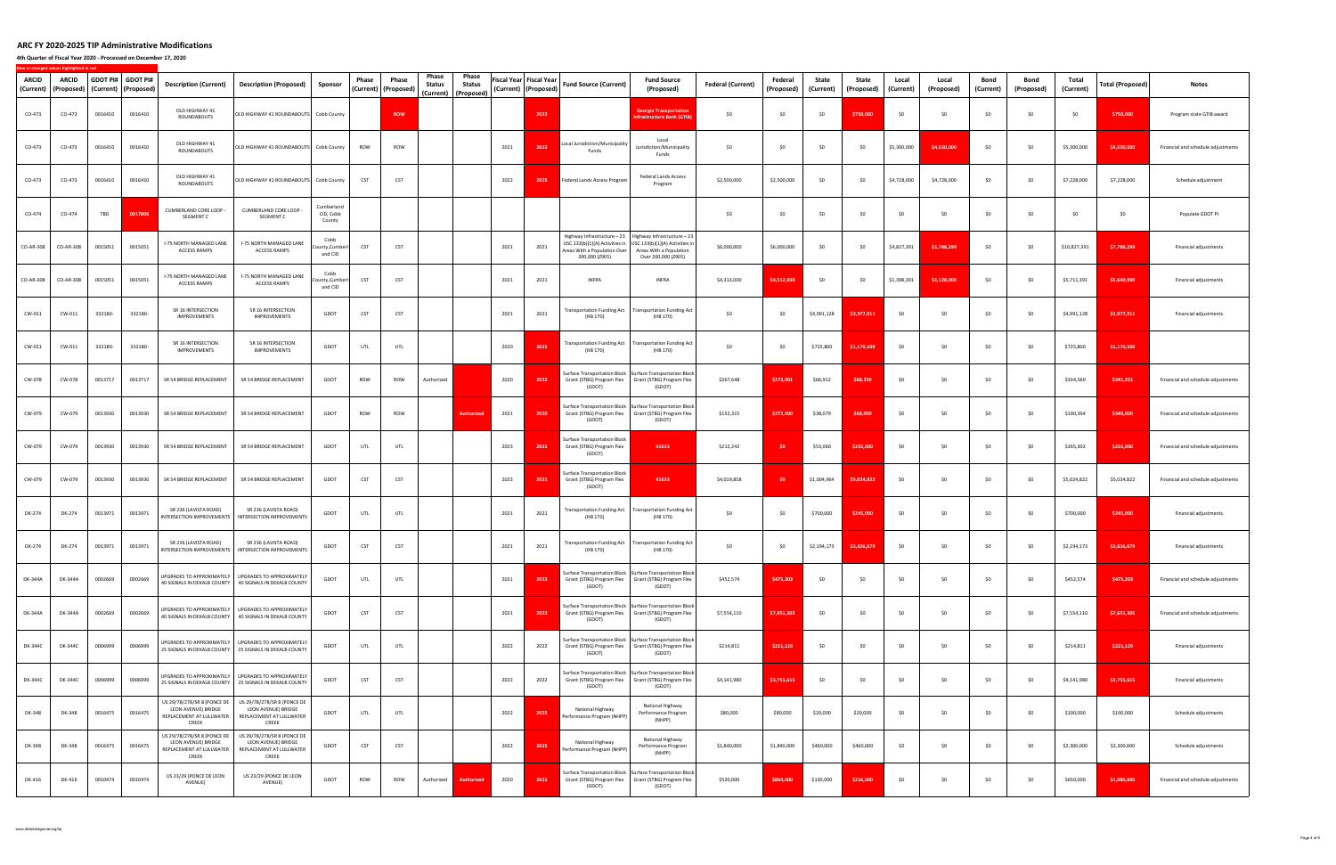**4th Quarter of Fiscal Year 2020 ‐ Processed on December 17, 2020**

| <b>ARCID</b><br>(Current) | ARCID<br>(Proposed) |         | GDOT PI# GDOT PI#<br>(Current) (Proposed) | <b>Description (Current)</b>                                                            | <b>Description (Proposed)</b>                                                                                    | Sponsor                           | Phase      | Phase<br>(Current)   (Proposed) | Phase<br>Status | Phase<br>Status<br>(Current) (Proposed) | Fiscal Year Fiscal Year | (Current)   (Proposed) | <b>Fund Source (Current)</b>                                                     | <b>Fund Source</b><br>(Proposed)                                                                                                              | <b>Federal (Current)</b> | Federal<br>(Proposed) | State<br>(Current) | State<br>(Proposed) | Local<br>(Current) | Local<br>(Proposed) | Bond<br>(Current) | Bond<br>(Proposed) | Total<br>(Current) | <b>Total (Proposed)</b> | Notes                              |
|---------------------------|---------------------|---------|-------------------------------------------|-----------------------------------------------------------------------------------------|------------------------------------------------------------------------------------------------------------------|-----------------------------------|------------|---------------------------------|-----------------|-----------------------------------------|-------------------------|------------------------|----------------------------------------------------------------------------------|-----------------------------------------------------------------------------------------------------------------------------------------------|--------------------------|-----------------------|--------------------|---------------------|--------------------|---------------------|-------------------|--------------------|--------------------|-------------------------|------------------------------------|
| CO-473                    | CO-473              | 0016410 | 0016410                                   | OLD HIGHWAY 41<br>ROUNDABOUTS                                                           | OLD HIGHWAY 41 ROUNDABOUTS Cobb County                                                                           |                                   |            | <b>ROW</b>                      |                 |                                         |                         | 2023                   |                                                                                  | <b>Georgia Transportatio</b><br><b>Infrastructure Bank (GTIE</b>                                                                              | \$0                      | \$0                   | \$0                | \$750,000           | \$0                | \$0                 | \$0               | \$0                | \$0                | \$750,000               | Program state GTIB award           |
| CO-473                    | CO-473              | 0016410 | 0016410                                   | OLD HIGHWAY 41<br>ROUNDABOUTS                                                           | OLD HIGHWAY 41 ROUNDABOUTS Cobb County                                                                           |                                   | ROW        | ROW                             |                 |                                         | 2021                    | 2023                   | Local Jurisdiction/Municipality<br>Funds                                         | Local<br>Jurisdiction/Municipality<br>Funds                                                                                                   | \$0                      | \$0                   | \$0                | \$0                 | \$5,300,000        | \$4,550,000         | \$0               | <b>SO</b>          | \$5,300,000        | \$4,550,000             | Financial and schedule adjustments |
| CO-473                    | CO-473              | 0016410 | 0016410                                   | OLD HIGHWAY 41<br>ROUNDABOUTS                                                           | OLD HIGHWAY 41 ROUNDABOUTS Cobb County                                                                           |                                   | CST        | <b>CST</b>                      |                 |                                         | 2022                    | 2025                   | Federal Lands Access Program                                                     | Federal Lands Access<br>Program                                                                                                               | \$2,500,000              | \$2,500,000           | \$0                | \$0                 | \$4,728,000        | \$4,728,000         | \$0               | \$0                | \$7,228,000        | \$7,228,000             | Schedule adjustment                |
| CO-474                    | CO-474              | TBD     | 0017806                                   | CUMBERLAND CORE LOOP<br>SEGMENT C                                                       | CUMBERLAND CORE LOOP -<br>SEGMENT C                                                                              | Cumberland<br>CID, Cobb<br>County |            |                                 |                 |                                         |                         |                        |                                                                                  |                                                                                                                                               | \$0                      | \$0                   | \$0                | \$0                 | \$0                | \$0                 | \$0               | <b>SO</b>          | \$0                | \$0                     | Populate GDOT PI                   |
| CO-AR-308                 | CO-AR-308           | 0015051 | 0015051                                   | I-75 NORTH MANAGED LANE<br><b>ACCESS RAMPS</b>                                          | I-75 NORTH MANAGED LANE<br><b>ACCESS RAMPS</b>                                                                   | Cobb<br>County,Cumberl<br>and CID | <b>CST</b> | CST                             |                 |                                         | 2021                    | 2021                   | USC 133(b)(1)(A) Activities in<br>Areas With a Population Over<br>200,000 (Z905) | Highway Infrastructure - 23   Highway Infrastructure - 23<br>USC 133(b)(1)(A) Activities in<br>Areas With a Population<br>Over 200,000 (Z905) | \$6,000,000              | \$6,000,000           | \$0                | \$0                 | \$4,827,391        | \$1,788,299         | \$0               | \$0                | \$10,827,391       | \$7,788,299             | Financial adjustments              |
| CO-AR-308                 | CO-AR-308           | 0015051 | 0015051                                   | I-75 NORTH MANAGED LANE<br>ACCESS RAMPS                                                 | I-75 NORTH MANAGED LANE<br>ACCESS RAMPS                                                                          | Cobb<br>punty,Cumber<br>and CID   | <b>CST</b> | CST                             |                 |                                         | 2021                    | 2021                   | <b>INFRA</b>                                                                     | <b>INFRA</b>                                                                                                                                  | \$4,313,000              | \$4,512,000           | \$0                | \$0                 | \$1,398,391        | \$1,128,000         | \$0               | - \$0              | \$5,711,391        | \$5,640,000             | Financial adjustments              |
| CW-011                    | CW-011              | 332180- | 332180-                                   | SR 16 INTERSECTION<br>IMPROVEMENTS                                                      | SR 16 INTERSECTION<br>IMPROVEMENTS                                                                               | GDOT                              | CST        | CST                             |                 |                                         | 2021                    | 2021                   | (HB 170)                                                                         | Transportation Funding Act   Transportation Funding Act<br>(HB 170)                                                                           | \$0                      | \$0                   | \$4,991,128        | \$3,977,911         | \$0                | \$0                 | \$0               | - \$0              | \$4,991,128        | \$3,977,911             | Financial adjustments              |
| CW-011                    | CW-011              | 332180- | 332180-                                   | SR 16 INTERSECTION<br>IMPROVEMENTS                                                      | SR 16 INTERSECTION<br>IMPROVEMENTS                                                                               | GDOT                              | UTL        | UTL                             |                 |                                         | 2020                    | 2021                   | (HB 170)                                                                         | Transportation Funding Act   Transportation Funding Act<br>(HB 170)                                                                           | \$0                      | \$0                   | \$725,800          | \$1,170,100         | \$0                | \$0                 | \$0               | \$0                | \$725,800          | \$1,170,100             |                                    |
| CW-078                    | CW-078              | 0013717 | 0013717                                   | SR 54 BRIDGE REPLACEMENT                                                                | SR 54 BRIDGE REPLACEMENT                                                                                         | GDOT                              | ROW        | ROW                             | Authorized      |                                         | 2020                    | 2022                   | (GDOT)                                                                           | Surface Transportation Block Surface Transportation Block<br>Grant (STBG) Program Flex Grant (STBG) Program Flex<br>(GDOT)                    | \$267,648                | \$273,001             | \$66,912           | \$68,250            | \$0                | \$0                 | \$0               | \$0                | \$334,560          | \$341,251               | Financial and schedule adjustments |
| CW-079                    | CW-079              | 0013930 | 0013930                                   | SR 54 BRIDGE REPLACEMENT                                                                | SR 54 BRIDGE REPLACEMENT                                                                                         | GDOT                              | ROW        | ROW                             |                 | <b>Authorize</b>                        | 2021                    | 2020                   | Grant (STBG) Program Flex<br>(GDOT)                                              | Surface Transportation Block Surface Transportation Block<br>Grant (STBG) Program Flex<br>(GDOT)                                              | \$152,315                | \$272,000             | \$38,079           | \$68,000            | \$0                | \$0                 | \$0               | \$0                | \$190,394          | \$340,000               | Financial and schedule adjustments |
| CW-079                    | CW-079              | 0013930 | 0013930                                   | SR 54 BRIDGE REPLACEMENT                                                                | SR 54 BRIDGE REPLACEMENT                                                                                         | GDOT                              | UTL        | UTL                             |                 |                                         | 2023                    | 2021                   | <b>Surface Transportation Block</b><br>Grant (STBG) Program Flex<br>(GDOT)       | 41633                                                                                                                                         | \$212,242                | SO <sub>2</sub>       | \$53,060           | \$255,000           | \$0                | \$0                 | \$0               | \$0                | \$265,302          | \$255,000               | Financial and schedule adjustments |
| CW-079                    | CW-079              | 0013930 | 0013930                                   | SR 54 BRIDGE REPLACEMENT                                                                | SR 54 BRIDGE REPLACEMENT                                                                                         | GDOT                              | CST        | CST                             |                 |                                         | 2023                    | 2021                   | <b>Surface Transportation Block</b><br>Grant (STBG) Program Flex<br>(GDOT)       | 41633                                                                                                                                         | \$4,019,858              | \$0                   | \$1,004,964        | \$5,024,822         | \$0                | \$0                 | \$0               | - \$0              | \$5,024,822        | \$5,024,822             | Financial and schedule adjustments |
| DK-274                    | DK-274              | 0013971 | 0013971                                   | SR 236 (LAVISTA ROAD)<br>INTERSECTION IMPROVEMENTS                                      | SR 236 (LAVISTA ROAD)<br>INTERSECTION IMPROVEMENTS                                                               | GDOT                              | UTL        | UTL                             |                 |                                         | 2021                    | 2021                   | <b>Transportation Funding Act</b><br>(HB 170)                                    | <b>Transportation Funding Act</b><br>(HB 170)                                                                                                 | \$0                      | \$0                   | \$700,000          | \$245,000           | \$0                | \$0                 | \$0               | - \$0              | \$700,000          | \$245,000               | Financial adjustments              |
| DK-274                    | DK-274              | 0013971 | 0013971                                   | SR 236 (LAVISTA ROAD)                                                                   | SR 236 (LAVISTA ROAD)<br>INTERSECTION IMPROVEMENTS   INTERSECTION IMPROVEMENTS                                   | GDOT                              | CST        | <b>CST</b>                      |                 |                                         | 2021                    | 2021                   | <b>Transportation Funding Act</b><br>(HB 170)                                    | <b>Transportation Funding Act</b><br>(HB 170)                                                                                                 | \$0                      | \$0                   | \$2,194,173        | \$3,836,679         | \$0                | \$0                 | \$0               | <b>SO</b>          | \$2,194,173        | \$3,836,679             | Financial adjustments              |
| DK-344A                   | DK-344A             | 0002669 | 0002669                                   |                                                                                         | UPGRADES TO APPROXIMATELY UPGRADES TO APPROXIMATELY<br>40 SIGNALS IN DEKALB COUNTY 40 SIGNALS IN DEKALB COUNTY   | GDOT                              | UTL        | UTL                             |                 |                                         | 2021                    | 2023                   | (GDOT)                                                                           | Surface Transportation Block Surface Transportation Block<br>Grant (STBG) Program Flex Grant (STBG) Program Flex<br>(GDOT)                    | \$452,574                | \$475,203             | \$0                | \$0                 | \$0                | \$0                 | \$0               | \$0                | \$452,574          | \$475,203               | Financial and schedule adjustments |
| DK-344A                   | DK-344A             | 0002669 | 0002669                                   |                                                                                         | UPGRADES TO APPROXIMATELY   UPGRADES TO APPROXIMATELY<br>40 SIGNALS IN DEKALB COUNTY 40 SIGNALS IN DEKALB COUNTY | GDOT                              | CST        | CST                             |                 |                                         | 2021                    | 2023                   | Grant (STBG) Program Flex<br>(GDOT)                                              | Surface Transportation Block Surface Transportation Block<br>Grant (STBG) Program Flex<br>(GDOT)                                              | \$7,554,110              | \$7,651,305           | \$0                | \$0                 | \$0                | \$0                 | \$0               | \$0                | \$7,554,110        | \$7,651,305             | Financial and schedule adjustments |
| DK-344C                   | DK-344C             | 0006999 | 0006999                                   |                                                                                         | UPGRADES TO APPROXIMATELY UPGRADES TO APPROXIMATELY<br>25 SIGNALS IN DEKALB COUNTY 25 SIGNALS IN DEKALB COUNTY   | GDOT                              | UTL        | UTL                             |                 |                                         | 2022                    | 2022                   | (GDOT)                                                                           | Surface Transportation Block Surface Transportation Block<br>Grant (STBG) Program Flex   Grant (STBG) Program Flex<br>(GDOT)                  | \$214,811                | \$221,129             | \$0                | \$0                 | \$0                | \$0                 | \$0               | \$0                | \$214,811          | \$221,129               | Financial adjustments              |
| DK-344C                   | DK-344C             | 0006999 | 0006999                                   |                                                                                         | UPGRADES TO APPROXIMATELY UPGRADES TO APPROXIMATELY<br>25 SIGNALS IN DEKALB COUNTY 25 SIGNALS IN DEKALB COUNTY   | GDOT                              | CST        | <b>CST</b>                      |                 |                                         | 2022                    | 2022                   | Grant (STBG) Program Flex<br>(GDOT)                                              | Surface Transportation Block Surface Transportation Block<br>Grant (STBG) Program Flex<br>(GDOT)                                              | \$4,141,980              | \$3,755,615           | \$0                | \$0                 | \$0                | \$0                 | \$0               | \$0                | \$4,141,980        | \$3,755,615             | Financial adjustments              |
| DK-348                    | DK-348              | 0016475 | 0016475                                   | US 29/78/278/SR 8 (PONCE DE<br>LEON AVENUE) BRIDGE<br>REPLACEMENT AT LULLWATER<br>CREEK | US 29/78/278/SR 8 (PONCE DE<br>LEON AVENUE) BRIDGE<br>REPLACEMENT AT LULLWATER<br>CREEK                          | GDOT                              | UTL        | UTL                             |                 |                                         | 2022                    | 2025                   | National Highway<br>Performance Program (NHPP)                                   | National Highway<br>Performance Program<br>(NHPP)                                                                                             | \$80,000                 | \$80,000              | \$20,000           | \$20,000            | \$0                | \$0                 | \$0               | \$0                | \$100,000          | \$100,000               | Schedule adjustments               |
| DK-348                    | DK-348              | 0016475 | 0016475                                   | US 29/78/278/SR 8 (PONCE DE<br>LEON AVENUE) BRIDGE<br>REPLACEMENT AT LULLWATER<br>CREEK | US 29/78/278/SR 8 (PONCE DE<br>LEON AVENUE) BRIDGE<br>REPLACEMENT AT LULLWATER<br>CREEK                          | GDOT                              | CST        | CST                             |                 |                                         | 2022                    | 2025                   | National Highway<br>Performance Program (NHPP)                                   | National Highway<br>Performance Program<br>(NHPP)                                                                                             | \$1,840,000              | \$1,840,000           | \$460,000          | \$460,000           | \$0                | \$0                 | \$0               | \$0                | \$2,300,000        | \$2,300,000             | Schedule adjustments               |
| DK-416                    | DK-416              | 0010474 | 0010474                                   | US 23/29 (PONCE DE LEON<br>AVENUE)                                                      | US 23/29 (PONCE DE LEON<br>AVENUE)                                                                               | GDOT                              | ROW        | ROW                             | Authorized      | <b>Authorized</b>                       | 2020                    | 2021                   | Grant (STBG) Program Flex<br>(GDOT)                                              | Surface Transportation Block Surface Transportation Block<br>Grant (STBG) Program Flex<br>(GDOT)                                              | \$520,000                | \$864,000             | \$130,000          | \$216,000           | \$0                | \$0                 | \$0               | \$0                | \$650,000          | \$1,080,000             | Financial and schedule adjustments |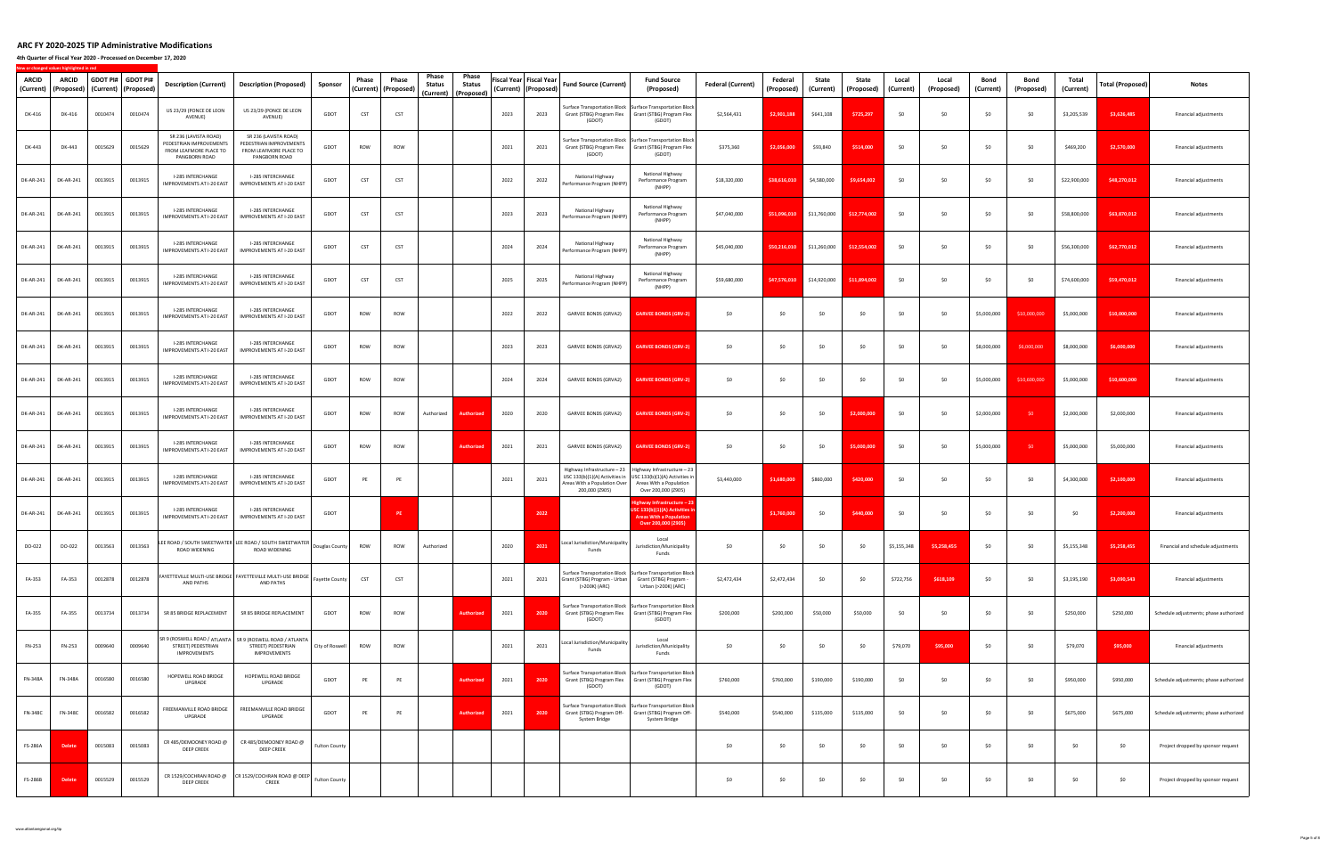**4th Quarter of Fiscal Year 2020 ‐ Processed on December 17, 2020**

| ARCID<br>(Current) | ARCID<br>(Proposed) |         | GDOT PI# GDOT PI#<br>(Current)   (Proposed) | <b>Description (Current)</b>                                                                | <b>Description (Proposed)</b>                                                                                                           | Sponsor              | Phase<br>(Current) | Phase<br>(Proposed) | Phase<br>Status | Phase<br>Status<br>(Current)   (Proposed) | Fiscal Year Fiscal Year | (Current)   (Proposed) | <b>Fund Source (Current)</b>                                                     | <b>Fund Source</b><br>(Proposed)                                                                                                              | <b>Federal (Current)</b> | Federal<br>(Proposed) | State<br>(Current) | State<br>(Proposed) | Local<br>(Current) | Local<br>(Proposed) | Bond<br>(Current) | Bond<br>(Proposed) | Total<br>(Current) | Total (Proposed) | Notes                                  |
|--------------------|---------------------|---------|---------------------------------------------|---------------------------------------------------------------------------------------------|-----------------------------------------------------------------------------------------------------------------------------------------|----------------------|--------------------|---------------------|-----------------|-------------------------------------------|-------------------------|------------------------|----------------------------------------------------------------------------------|-----------------------------------------------------------------------------------------------------------------------------------------------|--------------------------|-----------------------|--------------------|---------------------|--------------------|---------------------|-------------------|--------------------|--------------------|------------------|----------------------------------------|
| DK-416             | DK-416              | 0010474 | 0010474                                     | US 23/29 (PONCE DE LEON<br>AVENUE)                                                          | US 23/29 (PONCE DE LEON<br>AVENUE)                                                                                                      | GDOT                 | CST                | CST                 |                 |                                           | 2023                    | 2023                   | Grant (STBG) Program Flex<br>(GDOT)                                              | Surface Transportation Block   Surface Transportation Block<br>Grant (STBG) Program Flex<br>(GDOT)                                            | \$2,564,431              | \$2,901,188           | \$641,108          | \$725,297           | \$0                | \$0                 | \$0               | <b>SO</b>          | \$3,205,539        | \$3,626,485      | Financial adjustments                  |
| DK-443             | DK-443              | 0015629 | 0015629                                     | SR 236 (LAVISTA ROAD)<br>PEDESTRIAN IMPROVEMENTS<br>FROM LEAFMORE PLACE TO<br>PANGBORN ROAD | SR 236 (LAVISTA ROAD)<br>PEDESTRIAN IMPROVEMENTS<br>FROM LEAFMORE PLACE TO<br>PANGBORN ROAD                                             | GDOT                 | ROW                | ROW                 |                 |                                           | 2021                    | 2021                   | (GDOT)                                                                           | Surface Transportation Block Surface Transportation Block<br>Grant (STBG) Program Flex Grant (STBG) Program Flex<br>(GDOT)                    | \$375,360                | \$2,056,000           | \$93,840           | \$514,000           | \$0                | \$0                 | \$0               | \$0                | \$469,200          | \$2,570,000      | Financial adjustments                  |
| DK-AR-241          | DK-AR-241           | 0013915 | 0013915                                     | I-285 INTERCHANGE<br>IMPROVEMENTS AT I-20 EAST                                              | I-285 INTERCHANGE<br>IMPROVEMENTS AT I-20 EAST                                                                                          | GDOT                 | CST                | CST                 |                 |                                           | 2022                    | 2022                   | National Highway<br>Performance Program (NHPP)                                   | National Highway<br>Performance Program<br>(NHPP)                                                                                             | \$18,320,000             | \$38,616,010          | \$4,580,000        | \$9,654,002         | \$0                | \$0                 | \$0               | \$0                | \$22,900,000       | \$48,270,012     | Financial adjustments                  |
| DK-AR-241          | DK-AR-241           | 0013915 | 0013915                                     | I-285 INTERCHANGE<br>IMPROVEMENTS AT I-20 EAST                                              | I-285 INTERCHANGE<br>IMPROVEMENTS AT I-20 EAST                                                                                          | GDOT                 | CST                | CST                 |                 |                                           | 2023                    | 2023                   | National Highway<br>Performance Program (NHPP)                                   | National Highway<br>Performance Program<br>(NHPP)                                                                                             | \$47,040,000             | \$51,096,010          | \$11,760,000       | \$12,774,002        | <b>SO</b>          | \$0                 | \$0               | - \$0              | \$58,800,000       | \$63,870,012     | Financial adjustments                  |
| DK-AR-241          | DK-AR-241           | 0013915 | 0013915                                     | I-285 INTERCHANGE<br>IMPROVEMENTS AT I-20 EAST                                              | I-285 INTERCHANGE<br>IMPROVEMENTS AT I-20 EAST                                                                                          | GDOT                 | CST                | CST                 |                 |                                           | 2024                    | 2024                   | National Highway<br>Performance Program (NHPP)                                   | National Highway<br>Performance Program<br>(NHPP)                                                                                             | \$45,040,000             | \$50,216,010          | \$11,260,000       | \$12,554,002        | \$0                | \$0                 | \$0               | \$0                | \$56,300,000       | \$62,770,012     | Financial adjustments                  |
| DK-AR-241          | DK-AR-241           | 0013915 | 0013915                                     | I-285 INTERCHANGE<br>IMPROVEMENTS AT I-20 EAST                                              | I-285 INTERCHANGE<br>IMPROVEMENTS AT I-20 EAST                                                                                          | GDOT                 | CST                | CST                 |                 |                                           | 2025                    | 2025                   | National Highway<br>Performance Program (NHPP)                                   | National Highway<br>Performance Program<br>(NHPP)                                                                                             | \$59,680,000             | \$47.576.010          | \$14,920,000       | \$11,894,002        | \$0                | \$0                 | \$0               | - \$0              | \$74,600,000       | \$59,470,012     | Financial adjustments                  |
| DK-AR-241          | DK-AR-241           | 0013915 | 0013915                                     | I-285 INTERCHANGE<br>IMPROVEMENTS AT I-20 EAST                                              | I-285 INTERCHANGE<br>IMPROVEMENTS AT I-20 EAST                                                                                          | GDOT                 | ROW                | <b>ROW</b>          |                 |                                           | 2022                    | 2022                   | GARVEE BONDS (GRVA2)                                                             | <b>GARVEE BONDS (GRV-2</b>                                                                                                                    | \$0                      | \$0                   | \$0                | \$0                 | \$0                | \$0                 | \$5,000,000       | \$10,000,000       | \$5,000,000        | \$10,000,000     | Financial adjustments                  |
| DK-AR-241          | DK-AR-241           | 0013915 | 0013915                                     | I-285 INTERCHANGE<br>IMPROVEMENTS AT I-20 EAST                                              | I-285 INTERCHANGE<br>IMPROVEMENTS AT I-20 EAST                                                                                          | GDOT                 | ROW                | ROW                 |                 |                                           | 2023                    | 2023                   | GARVEE BONDS (GRVA2)                                                             | <b>GARVEE BONDS (GRV-2)</b>                                                                                                                   | \$0                      | \$0                   | \$0                | \$0                 | \$0                | \$0                 | \$8,000,000       | \$6,000,000        | \$8,000,000        | \$6,000,000      | Financial adjustments                  |
| DK-AR-241          | DK-AR-241           | 0013915 | 0013915                                     | I-285 INTERCHANGE<br>IMPROVEMENTS AT I-20 EAST                                              | I-285 INTERCHANGE<br>IMPROVEMENTS AT I-20 EAST                                                                                          | GDOT                 | ROW                | ROW                 |                 |                                           | 2024                    | 2024                   | GARVEE BONDS (GRVA2)                                                             | <b>GARVEE BONDS (GRV-2)</b>                                                                                                                   | \$0                      | \$0                   | \$0                | \$0                 | \$0                | \$0                 | \$5,000,000       | \$10,600,000       | \$5,000,000        | \$10,600,000     | Financial adjustments                  |
| DK-AR-241          | DK-AR-241           | 0013915 | 0013915                                     | I-285 INTERCHANGE<br>IMPROVEMENTS AT I-20 EAST                                              | I-285 INTERCHANGE<br>IMPROVEMENTS AT I-20 EAST                                                                                          | GDOT                 | ROW                | ROW                 | Authorized      | <b>Authorize</b>                          | 2020                    | 2020                   | GARVEE BONDS (GRVA2)                                                             | <b>GARVEE BONDS (GRV-2)</b>                                                                                                                   | \$0                      | \$0                   | \$0                | \$2,000,000         | \$0                | \$0                 | \$2,000,000       | - \$0              | \$2,000,000        | \$2,000,000      | Financial adjustments                  |
| DK-AR-241          | DK-AR-241           | 0013915 | 0013915                                     | I-285 INTERCHANGE<br><b>IMPROVEMENTS AT I-20 EAST</b>                                       | I-285 INTERCHANGE<br>IMPROVEMENTS AT I-20 EAST                                                                                          | GDOT                 | ROW                | ROW                 |                 | Authorize                                 | 2021                    | 2021                   | GARVEE BONDS (GRVA2)                                                             | <b>GARVEE BONDS (GRV-2)</b>                                                                                                                   | \$0                      | \$0                   | \$0                | \$5,000,000         | \$0                | \$0                 | \$5,000,000       | - \$0              | \$5,000,000        | \$5,000,000      | Financial adjustments                  |
| DK-AR-241          | DK-AR-241           | 0013915 | 0013915                                     | I-285 INTERCHANGE<br>IMPROVEMENTS AT I-20 EAST                                              | I-285 INTERCHANGE<br>IMPROVEMENTS AT I-20 EAST                                                                                          | GDOT                 | PE                 | PE                  |                 |                                           | 2021                    | 2021                   | USC 133(b)(1)(A) Activities in<br>Areas With a Population Over<br>200,000 (Z905) | Highway Infrastructure - 23   Highway Infrastructure - 23<br>USC 133(b)(1)(A) Activities in<br>Areas With a Population<br>Over 200,000 (Z905) | \$3,440,000              | \$1,680,000           | \$860,000          | \$420,000           | \$0                | \$0                 | \$0               | - \$0              | \$4,300,000        | \$2,100,000      | Financial adjustments                  |
| DK-AR-241          | DK-AR-241           | 0013915 | 0013915                                     | I-285 INTERCHANGE<br>IMPROVEMENTS AT I-20 EAST                                              | I-285 INTERCHANGE<br>IMPROVEMENTS AT I-20 EAST                                                                                          | GDOT                 |                    | P                   |                 |                                           |                         | 2022                   |                                                                                  | lighway Infrastructure - 23<br>USC 133(b)(1)(A) Activities i<br><b>Areas With a Population</b><br>Over 200,000 (Z905)                         |                          | \$1,760,000           | \$0                | \$440.000           | \$0                | \$0                 | \$0               | \$0                | \$0                | \$2,200,000      | Financial adjustments                  |
| DO-022             | DO-022              | 0013563 | 0013563                                     | ROAD WIDENING                                                                               | LEE ROAD / SOUTH SWEETWATER LEE ROAD / SOUTH SWEETWATER  <br>A final state intervalse and the political pouglas County<br>ROAD WIDENING |                      | ROW                | ROW                 | Authorized      |                                           | 2020                    | 2021                   | Local Jurisdiction/Municipality<br>Funds                                         | Local<br>Jurisdiction/Municipality<br>Funds                                                                                                   | \$0                      | \$0                   | \$0                | \$0                 | \$5,155,348        | \$5,258,455         | \$0               | <b>SO</b>          | \$5,155,348        | \$5,258,455      | Financial and schedule adjustments     |
| FA-353             | FA-353              | 0012878 | 0012878                                     | AND PATHS                                                                                   | FAYETTEVILLE MULTI-USE BRIDGE   FAYETTEVILLE MULTI-USE BRIDGE  <br>AND PATHS                                                            | Fayette County       | CST                | <b>CST</b>          |                 |                                           | 2021                    | 2021                   | Grant (STBG) Program - Urban<br>(>200K) (ARC)                                    | Surface Transportation Block Surface Transportation Block<br>Grant (STBG) Program -<br>Urban (>200K) (ARC)                                    | \$2,472,434              | \$2,472,434           | \$0                | \$0                 | \$722,756          | \$618,109           | \$0               | \$0                | \$3,195,190        | \$3,090,543      | Financial adjustments                  |
| FA-355             | FA-355              | 0013734 | 0013734                                     | SR 85 BRIDGE REPLACEMENT                                                                    | SR 85 BRIDGE REPLACEMENT                                                                                                                | GDOT                 | ROW                | ROW                 |                 | <b>Authorize</b>                          | 2021                    | 2020                   | Grant (STBG) Program Flex<br>(GDOT)                                              | Surface Transportation Block   Surface Transportation Block<br>Grant (STBG) Program Flex<br>(GDOT)                                            | \$200,000                | \$200,000             | \$50,000           | \$50,000            | \$0                | \$0                 | \$0               | \$0                | \$250,000          | \$250,000        | Schedule adjustments; phase authorized |
| FN-253             | FN-253              | 0009640 | 0009640                                     | STREET) PEDESTRIAN<br>IMPROVEMENTS                                                          | SR 9 (ROSWELL ROAD / ATLANTA   SR 9 (ROSWELL ROAD / ATLANTA<br>STREET) PEDESTRIAN<br>IMPROVEMENTS                                       | City of Roswell      | ROW                | ROW                 |                 |                                           | 2021                    | 2021                   | Local Jurisdiction/Municipality<br>Funds                                         | Local<br>Jurisdiction/Municipality<br>Funds                                                                                                   | \$0                      | \$0                   | \$0                | \$0                 | \$79,070           | \$95,000            | \$0               | \$0                | \$79,070           | \$95,000         | Financial adjustments                  |
| FN-348A            | FN-348A             | 0016580 | 0016580                                     | HOPEWELL ROAD BRIDGE<br>UPGRADE                                                             | HOPEWELL ROAD BRIDGE<br>UPGRADE                                                                                                         | GDOT                 | PE                 | PE                  |                 | <b>Authorizer</b>                         | 2021                    | 2020                   | Grant (STBG) Program Flex<br>(GDOT)                                              | Surface Transportation Block Surface Transportation Block<br>Grant (STBG) Program Flex<br>(GDOT)                                              | \$760,000                | \$760,000             | \$190,000          | \$190,000           | \$0                | \$0                 | \$0               | \$0                | \$950,000          | \$950,000        | Schedule adjustments; phase authorized |
| <b>FN-348C</b>     | FN-348C             | 0016582 | 0016582                                     | FREEMANVILLE ROAD BRIDGE<br>UPGRADE                                                         | FREEMANVILLE ROAD BRIDGE<br>UPGRADE                                                                                                     | GDOT                 | PE                 | PE                  |                 | <b>Authorized</b>                         | 2021                    | 2020                   | Grant (STBG) Program Off-<br>System Bridge                                       | Surface Transportation Block   Surface Transportation Block<br>Grant (STBG) Program Off-<br>System Bridge                                     | \$540,000                | \$540,000             | \$135,000          | \$135,000           | \$0                | \$0                 | \$0               | \$0                | \$675,000          | \$675,000        | Schedule adjustments; phase authorized |
| FS-286A            | <b>Delet</b>        | 0015083 | 0015083                                     | CR 485/DEMOONEY ROAD @<br><b>DEEP CREEK</b>                                                 | CR 485/DEMOONEY ROAD @<br><b>DEEP CREEK</b>                                                                                             | <b>Fulton County</b> |                    |                     |                 |                                           |                         |                        |                                                                                  |                                                                                                                                               | \$0                      | \$0                   | \$0                | \$0                 | \$0                | \$0                 | \$0               | \$0                | \$0                | \$0              | Project dropped by sponsor request     |
| FS-286B            | <b>Delete</b>       | 0015529 | 0015529                                     | DEEP CREEK                                                                                  | CR 1529/COCHRAN ROAD @ CR 1529/COCHRAN ROAD @ DEEP Fulton County<br>CREEK                                                               |                      |                    |                     |                 |                                           |                         |                        |                                                                                  |                                                                                                                                               | \$0                      | \$0                   | \$0                | \$0                 | \$0                | \$0                 | \$0               | \$0                | \$0                | \$0              | Project dropped by sponsor request     |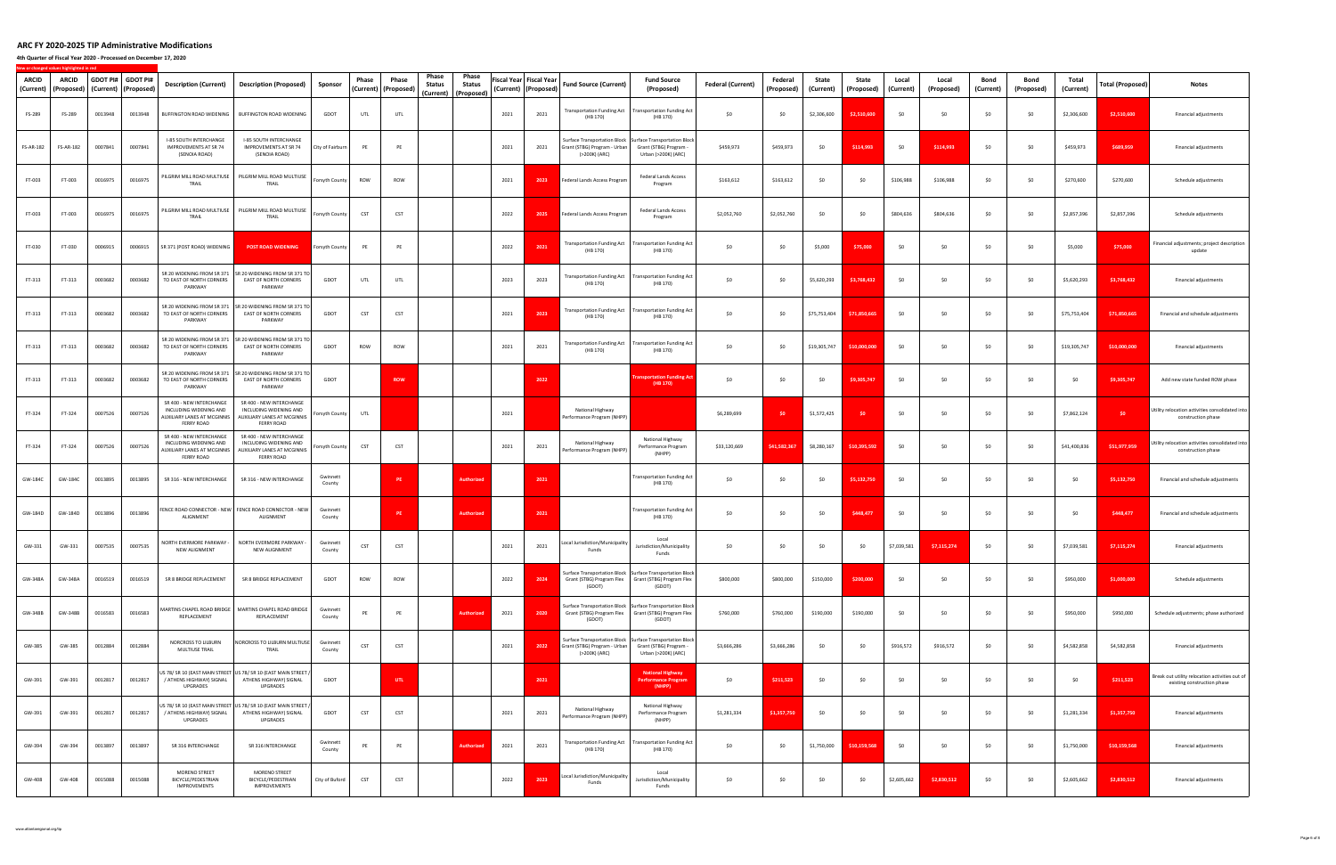**4th Quarter of Fiscal Year 2020 ‐ Processed on December 17, 2020**

| ARCID<br>(Current) | ARCID<br>(Proposed) |         | GDOT PI# GDOT PI#<br>(Current)   (Proposed) | <b>Description (Current)</b>                                                                           | <b>Description (Proposed)</b>                                                                          | Sponsor            | Phase<br>(Current) | Phase<br>(Proposed) | Phase<br><b>Status</b> | Phase<br>Status<br>(Current) (Proposed) |      | Fiscal Year Fiscal Year<br>(Current)   (Proposed) | <b>Fund Source (Current)</b>                                    | <b>Fund Source</b><br>(Proposed)                                                                           | <b>Federal (Current)</b> | Federal<br>(Proposed) | State<br>(Current) | State<br>(Proposed) | Local<br>(Current) | Local<br>(Proposed) | Bond<br>(Current) | Bond<br>(Proposed) | Total<br>(Current) | Total (Proposed) | <b>Notes</b>                                                                  |
|--------------------|---------------------|---------|---------------------------------------------|--------------------------------------------------------------------------------------------------------|--------------------------------------------------------------------------------------------------------|--------------------|--------------------|---------------------|------------------------|-----------------------------------------|------|---------------------------------------------------|-----------------------------------------------------------------|------------------------------------------------------------------------------------------------------------|--------------------------|-----------------------|--------------------|---------------------|--------------------|---------------------|-------------------|--------------------|--------------------|------------------|-------------------------------------------------------------------------------|
| FS-289             | FS-289              | 0013948 | 0013948                                     | BUFFINGTON ROAD WIDENING                                                                               | BUFFINGTON ROAD WIDENING                                                                               | GDOT               | UTL                | UTL                 |                        |                                         | 2021 | 2021                                              | <b>Transportation Funding Act</b><br>(HB 170)                   | <b>Transportation Funding Act</b><br>(HB 170)                                                              | \$0                      | \$0                   | \$2,306,600        | \$2,510,600         | \$0                | \$0                 | \$0               | - \$0              | \$2,306,600        | \$2,510,600      | Financial adjustments                                                         |
| <b>FS-AR-182</b>   | FS-AR-182           | 0007841 | 0007841                                     | I-85 SOUTH INTERCHANGE<br>IMPROVEMENTS AT SR 74<br>(SENOIA ROAD)                                       | I-85 SOUTH INTERCHANGE<br><b>IMPROVEMENTS AT SR 74</b><br>(SENOIA ROAD)                                | City of Fairburn   | PE                 | PE                  |                        |                                         | 2021 | 2021                                              | Grant (STBG) Program - Urban<br>(>200K) (ARC)                   | Surface Transportation Block Surface Transportation Block<br>Grant (STBG) Program -<br>Urban (>200K) (ARC) | \$459,973                | \$459,973             | \$0                | \$114,993           | \$0                | \$114,993           | \$0               | \$0                | \$459,973          | \$689,959        | Financial adjustments                                                         |
| FT-003             | FT-003              | 0016975 | 0016975                                     | PILGRIM MILL ROAD MULTIUSE<br>TRAIL                                                                    | PILGRIM MILL ROAD MULTIUSE<br>TRAIL                                                                    | Forsyth County     | ROW                | ROW                 |                        |                                         | 2021 | 2023                                              | Federal Lands Access Program                                    | <b>Federal Lands Access</b><br>Program                                                                     | \$163,612                | \$163,612             | \$0                | \$0                 | \$106,988          | \$106,988           | \$0               | -SO                | \$270,600          | \$270,600        | Schedule adjustments                                                          |
| FT-003             | FT-003              | 0016975 | 0016975                                     | TRAIL                                                                                                  | PILGRIM MILL ROAD MULTIUSE   PILGRIM MILL ROAD MULTIUSE<br>TRAIL                                       | Forsyth County     | CST                | CST                 |                        |                                         | 2022 | 2025                                              | Federal Lands Access Program                                    | <b>Federal Lands Access</b><br>Program                                                                     | \$2,052,760              | \$2,052,760           | \$0                | \$0                 | \$804,636          | \$804,636           | \$0               | - \$0              | \$2,857,396        | \$2,857,396      | Schedule adjustments                                                          |
| FT-030             | FT-030              | 0006915 | 0006915                                     | SR 371 (POST ROAD) WIDENING                                                                            | <b>POST ROAD WIDENING</b>                                                                              | Forsyth County     | PE                 | PE                  |                        |                                         | 2022 | 2021                                              | (HB 170)                                                        | Transportation Funding Act   Transportation Funding Act<br>(HB 170)                                        | \$0                      | \$0                   | \$5,000            | \$75,000            | \$0                | \$0                 | \$0               | \$0                | \$5,000            | \$75,000         | Financial adjustments; project description<br>update                          |
| FT-313             | FT-313              | 0003682 | 0003682                                     | TO EAST OF NORTH CORNERS<br>PARKWAY                                                                    | SR 20 WIDENING FROM SR 371 SR 20 WIDENING FROM SR 371 TO<br>EAST OF NORTH CORNERS<br>PARKWAY           | GDOT               | UTL                | UTL                 |                        |                                         | 2023 | 2023                                              | (HB 170)                                                        | Transportation Funding Act   Transportation Funding Act<br>(HB 170)                                        | \$0                      | \$0                   | \$5,620,293        | \$3,768,432         | \$0                | \$0                 | \$0               | - \$0              | \$5,620,293        | \$3,768,432      | Financial adjustments                                                         |
| FT-313             | FT-313              | 0003682 | 0003682                                     | TO EAST OF NORTH CORNERS<br>PARKWAY                                                                    | SR 20 WIDENING FROM SR 371 SR 20 WIDENING FROM SR 371 TO<br>EAST OF NORTH CORNERS<br>PARKWAY           | GDOT               | CST                | CST                 |                        |                                         | 2021 | 2023                                              | (HB 170)                                                        | Transportation Funding Act   Transportation Funding Act<br>(HB 170)                                        | \$0                      | \$0                   | \$75,753,404       | \$71,850,665        | \$0                | \$0                 | \$0               | - \$0              | \$75,753,404       | \$71,850,665     | Financial and schedule adjustments                                            |
| FT-313             | FT-313              | 0003682 | 0003682                                     | TO EAST OF NORTH CORNERS<br>PARKWAY                                                                    | SR 20 WIDENING FROM SR 371 SR 20 WIDENING FROM SR 371 TO<br><b>EAST OF NORTH CORNERS</b><br>PARKWAY    | GDOT               | ROW                | ROW                 |                        |                                         | 2021 | 2021                                              | <b>Transportation Funding Act</b><br>(HB 170)                   | <b>Transportation Funding Act</b><br>(HB 170)                                                              | \$0                      | \$0                   | \$19,305,747       | \$10,000,000        | \$0                | \$0                 | \$0               | \$0                | \$19,305,747       | \$10,000,000     | Financial adjustments                                                         |
| FT-313             | FT-313              | 0003682 | 0003682                                     | TO EAST OF NORTH CORNERS<br>PARKWAY                                                                    | SR 20 WIDENING FROM SR 371 SR 20 WIDENING FROM SR 371 TO<br>EAST OF NORTH CORNERS<br>PARKWAY           | GDOT               |                    | <b>ROW</b>          |                        |                                         |      | 2022                                              |                                                                 | ansportation Funding<br>(HB 170)                                                                           | \$0                      | \$0                   | \$0                | \$9,305,747         | \$0                | \$0                 | \$0               | - \$0              | \$0                | \$9,305,747      | Add new state funded ROW phase                                                |
| FT-324             | FT-324              | 0007526 | 0007526                                     | SR 400 - NEW INTERCHANGE<br>INCLUDING WIDENING AND<br>AUXILIARY LANES AT MCGINNIS<br><b>FERRY ROAD</b> | SR 400 - NEW INTERCHANGE<br>INCLUDING WIDENING AND<br>AUXILIARY LANES AT MCGINNIS<br><b>FERRY ROAD</b> | orsyth County      | UTL                |                     |                        |                                         | 2021 |                                                   | National Highway<br>Performance Program (NHPP)                  |                                                                                                            | \$6,289,699              | - \$0                 | \$1,572,425        | - \$0               | \$0                | \$0                 | \$0               | \$0                | \$7,862,124        | \$0              | Utility relocation activities consolidated into<br>construction phase         |
| FT-324             | FT-324              | 0007526 | 0007526                                     | SR 400 - NEW INTERCHANGE<br>INCLUDING WIDENING AND<br>AUXILIARY LANES AT MCGINNIS<br><b>FERRY ROAD</b> | SR 400 - NEW INTERCHANGE<br>INCLUDING WIDENING AND<br>AUXILIARY LANES AT MCGINNIS<br><b>FERRY ROAD</b> | Forsyth County     | CST                | CST                 |                        |                                         | 2021 | 2021                                              | National Highway<br>Performance Program (NHPP)                  | National Highway<br>Performance Program<br>(NHPP)                                                          | \$33,120,669             | \$41,582,367          | \$8,280,167        | \$10,395,592        | \$0                | \$0                 | \$0               | \$0                | \$41,400,836       | \$51,977,959     | Utility relocation activities consolidated into<br>construction phase         |
| GW-184C            | GW-184C             | 0013895 | 0013895                                     | SR 316 - NEW INTERCHANGE                                                                               | SR 316 - NEW INTERCHANGE                                                                               | Gwinnett<br>County |                    | PE                  |                        | <b>Authorized</b>                       |      | 2021                                              |                                                                 | <b>Transportation Funding Act</b><br>(HB 170)                                                              | \$0                      | \$0                   | \$0                | \$5,132,750         | \$0                | \$0                 | \$0               | \$0                | \$0                | \$5,132,750      | Financial and schedule adjustments                                            |
| GW-184D            | GW-184D             | 0013896 | 0013896                                     | ALIGNMENT                                                                                              | FENCE ROAD CONNECTOR - NEW FENCE ROAD CONNECTOR - NEW<br>ALIGNMENT                                     | Gwinnett<br>County |                    | PE                  |                        | <b>Authorize</b>                        |      | 2021                                              |                                                                 | <b>Transportation Funding Act</b><br>(HB 170)                                                              | \$0                      | \$0                   | \$0                | \$448,477           | \$0                | \$0                 | \$0               | - \$0              | \$0                | \$448,477        | Financial and schedule adjustments                                            |
| GW-331             | GW-331              | 0007535 | 0007535                                     | NORTH EVERMORE PARKWAY -<br>NEW ALIGNMENT                                                              | NORTH EVERMORE PARKWAY -<br>NEW ALIGNMENT                                                              | Gwinnett<br>County | CST                | <b>CST</b>          |                        |                                         | 2021 | 2021                                              | Local Jurisdiction/Municipality<br>Funds                        | Local<br>Jurisdiction/Municipality<br>Funds                                                                | \$0                      | \$0                   | \$0                | \$0                 | \$7,039,581        | \$7,115,274         | \$0               | \$0                | \$7,039,581        | \$7,115,274      | Financial adjustments                                                         |
| GW-348A            | GW-348A             | 0016519 | 0016519                                     | SR 8 BRIDGE REPLACEMENT                                                                                | SR 8 BRIDGE REPLACEMENT                                                                                | GDOT               | ROW                | ROW                 |                        |                                         | 2022 | 2024                                              | Grant (STBG) Program Flex   Grant (STBG) Program Flex<br>(GDOT) | Surface Transportation Block Surface Transportation Block<br>(GDOT)                                        | \$800,000                | \$800,000             | \$150,000          | \$200,000           | \$0                | \$0                 | \$0               | \$0                | \$950,000          | \$1,000,000      | Schedule adjustments                                                          |
| GW-348B            | GW-348B             | 0016583 | 0016583                                     | REPLACEMENT                                                                                            | MARTINS CHAPEL ROAD BRIDGE   MARTINS CHAPEL ROAD BRIDGE<br>REPLACEMENT                                 | Gwinnett<br>County | PE                 | PE                  |                        | <b>Authorized</b>                       | 2021 | 2020                                              | Grant (STBG) Program Flex Grant (STBG) Program Flex<br>(GDOT)   | Surface Transportation Block Surface Transportation Block<br>(GDOT)                                        | \$760,000                | \$760,000             | \$190,000          | \$190,000           | \$0                | \$0                 | \$0               | \$0                | \$950,000          | \$950,000        | Schedule adjustments; phase authorized                                        |
| GW-385             | GW-385              | 0012884 | 0012884                                     | NORCROSS TO LILBURN<br>MULTIUSE TRAIL                                                                  | NORCROSS TO LILBURN MULTIUSE<br>TRAIL                                                                  | Gwinnett<br>County | CST                | CST                 |                        |                                         | 2021 | 2022                                              | Grant (STBG) Program - Urban<br>(>200K) (ARC)                   | Surface Transportation Block Surface Transportation Block<br>Grant (STBG) Program -<br>Urban (>200K) (ARC) | \$3,666,286              | \$3,666,286           | \$0                | \$0                 | \$916,572          | \$916,572           | \$0               | - \$0              | \$4,582,858        | \$4,582,858      | Financial adjustments                                                         |
| GW-391             | GW-391              | 0012817 | 0012817                                     | / ATHENS HIGHWAY) SIGNAL<br>UPGRADES                                                                   | US 78/ SR 10 (EAST MAIN STREET US 78/ SR 10 (EAST MAIN STREET /<br>ATHENS HIGHWAY) SIGNAL<br>UPGRADES  | GDOT               |                    | UTL                 |                        |                                         |      | 2021                                              |                                                                 | <b>National Highway</b><br>Performance Prograr<br>(NHPP)                                                   | \$0                      | \$211,523             | \$0                | \$0                 | \$0                | \$0                 | \$0               | \$0                | \$0                | \$211,523        | Break out utility relocation activities out of<br>existing construction phase |
| GW-391             | GW-391              | 0012817 | 0012817                                     | / ATHENS HIGHWAY) SIGNAL<br>UPGRADES                                                                   | US 78/ SR 10 (EAST MAIN STREET US 78/ SR 10 (EAST MAIN STREET /<br>ATHENS HIGHWAY) SIGNAL<br>UPGRADES  | GDOT               | CST                | <b>CST</b>          |                        |                                         | 2021 | 2021                                              | National Highway<br>Performance Program (NHPP)                  | National Highway<br>Performance Program<br>(NHPP)                                                          | \$1,281,334              | \$1,357,750           | \$0                | \$0                 | \$0                | \$0                 | \$0               | \$0                | \$1,281,334        | \$1,357,750      | Financial adjustments                                                         |
| GW-394             | GW-394              | 0013897 | 0013897                                     | SR 316 INTERCHANGE                                                                                     | SR 316 INTERCHANGE                                                                                     | Gwinnett<br>County | PE                 | PE                  |                        | <b>Authorize</b>                        | 2021 | 2021                                              | <b>Transportation Funding Act</b><br>(HB 170)                   | <b>Transportation Funding Act</b><br>(HB 170)                                                              | \$0                      | \$0                   | \$1,750,000        | \$10,159,568        | \$0                | \$0                 | \$0               | \$0                | \$1,750,000        | \$10,159,568     | Financial adjustments                                                         |
| GW-408             | GW-408              | 0015088 | 0015088                                     | MORENO STREET<br>BICYCLE/PEDESTRIAN<br><b>IMPROVEMENTS</b>                                             | MORENO STREET<br>BICYCLE/PEDESTRIAN<br><b>IMPROVEMENTS</b>                                             | City of Buford     | CST                | <b>CST</b>          |                        |                                         | 2022 | 2023                                              | Local Jurisdiction/Municipality<br>Funds                        | Local<br>Jurisdiction/Municipality<br>Funds                                                                | \$0                      | \$0                   | \$0                | \$0                 | \$2,605,662        | \$2,830,512         | \$0               | \$0                | \$2,605,662        | \$2,830,512      | Financial adjustments                                                         |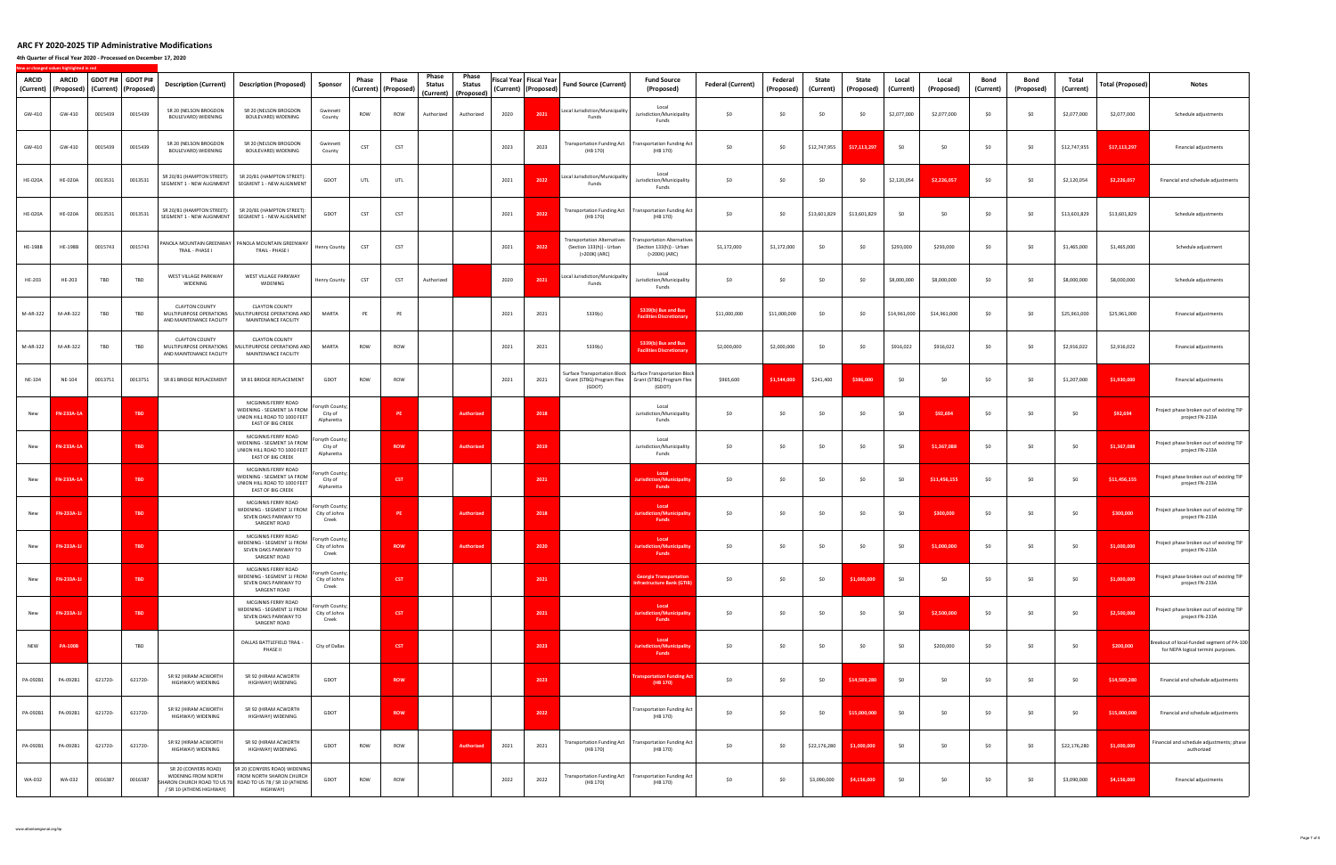**4th Quarter of Fiscal Year 2020 ‐ Processed on December 17, 2020**

| ARCID<br>(Current) | ARCID<br>(Proposed) | GDOT PI# | <b>GDOT PI#</b><br>(Current) (Proposed) | <b>Description (Current)</b>                                                 | <b>Description (Proposed)</b>                                                                                                      | Sponsor                                  | Phase<br>(Current) | Phase<br>(Proposed) | Phase<br>Status<br>(Current) | Phase<br>Status<br>(Proposed) |      | Fiscal Year Fiscal Year<br>(Current) (Proposed) | <b>Fund Source (Current)</b>                                            | <b>Fund Source</b><br>(Proposed)                                                                                           | <b>Federal (Current)</b> | Federal<br>(Proposed) | State<br>(Current) | State<br>(Proposed) | Local<br>(Current) | Local<br>(Proposed) | Bond<br>(Current) | Bond<br>(Proposed) | Total<br>(Current) | Total (Proposed) | Notes                                                                            |
|--------------------|---------------------|----------|-----------------------------------------|------------------------------------------------------------------------------|------------------------------------------------------------------------------------------------------------------------------------|------------------------------------------|--------------------|---------------------|------------------------------|-------------------------------|------|-------------------------------------------------|-------------------------------------------------------------------------|----------------------------------------------------------------------------------------------------------------------------|--------------------------|-----------------------|--------------------|---------------------|--------------------|---------------------|-------------------|--------------------|--------------------|------------------|----------------------------------------------------------------------------------|
| GW-410             | GW-410              | 0015439  | 0015439                                 | SR 20 (NELSON BROGDON<br>BOULEVARD) WIDENING                                 | SR 20 (NELSON BROGDON<br>BOULEVARD) WIDENING                                                                                       | Gwinnett<br>County                       | ROW                | ROW                 | Authorized                   | Authorized                    | 2020 | 2021                                            | Local Jurisdiction/Municipality<br>Funds                                | Local<br>Jurisdiction/Municipality<br>Funds                                                                                | \$0                      | \$0                   | \$0                | \$0                 | \$2,077,000        | \$2,077,000         | \$0               | - \$0              | \$2,077,000        | \$2,077,000      | Schedule adjustments                                                             |
| GW-410             | GW-410              | 0015439  | 0015439                                 | SR 20 (NELSON BROGDON<br>BOULEVARD) WIDENING                                 | SR 20 (NELSON BROGDON<br>BOULEVARD) WIDENING                                                                                       | Gwinnett<br>County                       | CST                | <b>CST</b>          |                              |                               | 2023 | 2023                                            | <b>Transportation Funding Act</b><br>(HB 170)                           | <b>Transportation Funding Act</b><br>(HB 170)                                                                              | \$0                      | \$0                   | \$12,747,955       | \$17,113,29         | \$0                | \$0                 | \$0               | \$0                | \$12,747,955       | \$17,113,297     | Financial adjustments                                                            |
| <b>HE-020A</b>     | <b>HE-020A</b>      | 0013531  | 0013531                                 | SR 20/81 (HAMPTON STREET):<br>SEGMENT 1 - NEW ALIGNMENT                      | SR 20/81 (HAMPTON STREET)<br>SEGMENT 1 - NEW ALIGNMENT                                                                             | GDOT                                     | UTL                | UTL                 |                              |                               | 2021 | 2022                                            | Local Jurisdiction/Municipality<br>Funds                                | Local<br>Jurisdiction/Municipality<br>Funds                                                                                | \$0                      | \$0                   | \$0                | \$0                 | \$2,120,054        | \$2,226,057         | \$0               | \$0                | \$2,120,054        | \$2,226,057      | Financial and schedule adjustments                                               |
| <b>HE-020A</b>     | <b>HE-020A</b>      | 0013531  | 0013531                                 | SR 20/81 (HAMPTON STREET):<br>SEGMENT 1 - NEW ALIGNMENT                      | SR 20/81 (HAMPTON STREET):<br>SEGMENT 1 - NEW ALIGNMENT                                                                            | GDOT                                     | CST                | <b>CST</b>          |                              |                               | 2021 | 2022                                            | (HB 170)                                                                | Transportation Funding Act Transportation Funding Act<br>(HB 170)                                                          | \$0                      | \$0                   | \$13,601,829       | \$13,601,829        | \$0                | \$0                 | \$0               | \$0                | \$13,601,829       | \$13,601,829     | Schedule adjustments                                                             |
| <b>HE-198B</b>     | <b>HE-198B</b>      | 0015743  | 0015743                                 | TRAIL - PHASE I                                                              | PANOLA MOUNTAIN GREENWAY   PANOLA MOUNTAIN GREENWAY<br>TRAIL - PHASE I                                                             | Henry County                             | CST                | <b>CST</b>          |                              |                               | 2021 | 2022                                            | ransportation Alternatives<br>(Section 133(h)) - Urban<br>(>200K) (ARC) | ransportation Alternatives<br>(Section 133(h)) - Urban<br>(>200K) (ARC)                                                    | \$1,172,000              | \$1,172,000           | \$0                | \$0                 | \$293,000          | \$293,000           | \$0               | \$0                | \$1,465,000        | \$1,465,000      | Schedule adjustment                                                              |
| HE-203             | HE-203              | TBD      | TBD                                     | WEST VILLAGE PARKWAY<br>WIDENING                                             | WEST VILLAGE PARKWAY<br>WIDENING                                                                                                   | Henry County                             | <b>CST</b>         | <b>CST</b>          | Authorized                   |                               | 2020 | 2021                                            | Local Jurisdiction/Municipality<br>Funds                                | Local<br>Jurisdiction/Municipality<br>Funds                                                                                | \$0                      | \$0                   | \$0                | \$0                 | \$8,000,000        | \$8,000,000         | \$0               | - \$0              | \$8,000,000        | \$8,000,000      | Schedule adjustments                                                             |
| M-AR-322           | M-AR-322            | TBD      | TBD                                     | <b>CLAYTON COUNTY</b><br>MULTIPURPOSE OPERATIONS<br>AND MAINTENANCE FACILITY | <b>CLAYTON COUNTY</b><br>MULTIPURPOSE OPERATIONS AND<br>MAINTENANCE FACILITY                                                       | MARTA                                    | PE                 | PE                  |                              |                               | 2021 | 2021                                            | 5339(c)                                                                 | 5339(b) Bus and Bus<br><b>Facilities Discretionary</b>                                                                     | \$11,000,000             | \$11,000,000          | \$0                | \$0                 | \$14,961,000       | \$14,961,000        | \$0               | \$0                | \$25,961,000       | \$25,961,000     | Financial adjustments                                                            |
| M-AR-322           | M-AR-322            | TBD      | TBD                                     | <b>CLAYTON COUNTY</b><br>MULTIPURPOSE OPERATIONS<br>AND MAINTENANCE FACILITY | <b>CLAYTON COUNTY</b><br>MULTIPURPOSE OPERATIONS AND<br>MAINTENANCE FACILITY                                                       | MARTA                                    | ROW                | ROW                 |                              |                               | 2021 | 2021                                            | 5339(c)                                                                 | 5339(b) Bus and Bus<br><b>Facilities Discretionary</b>                                                                     | \$2,000,000              | \$2,000,000           | \$0                | \$0                 | \$916,022          | \$916,022           | \$0               | \$0                | \$2,916,022        | \$2,916,022      | Financial adjustments                                                            |
| NE-104             | NE-104              | 0013751  | 0013751                                 | SR 81 BRIDGE REPLACEMENT                                                     | SR 81 BRIDGE REPLACEMENT                                                                                                           | GDOT                                     | ROW                | ROW                 |                              |                               | 2021 | 2021                                            | (GDOT)                                                                  | Surface Transportation Block Surface Transportation Block<br>Grant (STBG) Program Flex Grant (STBG) Program Flex<br>(GDOT) | \$965,600                | \$1,544,000           | \$241,400          | \$386,000           | \$0                | \$0                 | \$0               | \$0                | \$1,207,000        | \$1,930,000      | Financial adjustments                                                            |
| New                | FN-233A-1A          |          | <b>TBD</b>                              |                                                                              | MCGINNIS FERRY ROAD<br>WIDENING - SEGMENT 1A FROM<br>UNION HILL ROAD TO 1000 FEET<br>EAST OF BIG CREEK                             | orsyth County;<br>City of<br>Alpharetta  |                    | PE                  |                              | <b>Authorize</b>              |      | 2018                                            |                                                                         | Local<br>Jurisdiction/Municipality<br>Funds                                                                                | \$0                      | \$0                   | \$0                | \$0                 | \$0                | \$92,694            | \$0               | \$0                | \$0                | \$92,694         | Project phase broken out of existing TIP<br>project FN-233A                      |
| New                | <b>FN-233A-1A</b>   |          | <b>TBD</b>                              |                                                                              | MCGINNIS FERRY ROAD<br>NIDENING - SEGMENT 1A FROM<br>UNION HILL ROAD TO 1000 FEET<br>EAST OF BIG CREEK                             | orsyth County;<br>City of<br>Alpharetta  |                    | <b>ROW</b>          |                              | Authorize                     |      | 2019                                            |                                                                         | Local<br>Jurisdiction/Municipality<br>Funds                                                                                | \$0                      | \$0                   | \$0                | \$0                 | \$C                | \$1,367,088         | \$0               | \$0                | \$0                | \$1,367,088      | Project phase broken out of existing TIP<br>project FN-233A                      |
| New                | <b>FN-233A-1A</b>   |          | <b>TBD</b>                              |                                                                              | MCGINNIS FERRY ROAD<br>WIDENING - SEGMENT 1A FROM<br>UNION HILL ROAD TO 1000 FEET<br>EAST OF BIG CREEK                             | rsyth County;<br>City of<br>Alpharetta   |                    | <b>CST</b>          |                              |                               |      | 2021                                            |                                                                         | Local<br>sdiction/Municipal<br>Funds                                                                                       | \$0                      | \$0                   | \$0                | \$0                 | \$0                | \$11,456,155        | \$0               | \$0                | \$0                | \$11,456,155     | Project phase broken out of existing TIP<br>project FN-233A                      |
| New                | FN-233A-            |          | <b>TBD</b>                              |                                                                              | MCGINNIS FERRY ROAD<br>WIDENING - SEGMENT 1J FROM<br>SEVEN OAKS PARKWAY TO<br><b>SARGENT ROAD</b>                                  | prsyth County;<br>City of Johns<br>Creek |                    | PE                  |                              | Authoriz                      |      | 2018                                            |                                                                         | Local<br>ion/Munic<br>Funds                                                                                                | \$0                      | \$0                   | \$0                | \$0                 | - \$0              | \$300,000           | \$0               | \$0                | \$0                | \$300,000        | Project phase broken out of existing TIP<br>project FN-233A                      |
| New                | FN-233A-1J          |          | <b>TBD</b>                              |                                                                              | MCGINNIS FERRY ROAD<br>WIDENING - SEGMENT 1J FROM<br>SEVEN OAKS PARKWAY TO<br><b>SARGENT ROAD</b>                                  | prsyth County;<br>City of Johns<br>Creek |                    | <b>ROW</b>          |                              | Authorized                    |      | 2020                                            |                                                                         | Local<br>urisdiction/Municipalit<br><b>Funds</b>                                                                           | \$0                      | \$0                   | \$0                | \$0                 | \$0                | \$1,000,000         | \$0               | \$0                | \$0                | \$1,000,000      | Project phase broken out of existing TIP<br>project FN-233A                      |
| New                | FN-233A-1           |          | <b>TBD</b>                              |                                                                              | MCGINNIS FERRY ROAD<br>WIDENING - SEGMENT 1J FROM<br>SEVEN OAKS PARKWAY TO<br><b>SARGENT ROAD</b>                                  | orsyth County;<br>City of Johns<br>Creek |                    | CST                 |                              |                               |      | 2021                                            |                                                                         | <b>Georgia Transportation</b><br>nfrastructure Bank (GTIB                                                                  | \$0                      | \$0                   | \$0                | \$1,000,000         | \$0                | \$0                 | \$0               | \$0                | \$0                | \$1,000,000      | Project phase broken out of existing TIP<br>project FN-233A                      |
| New                | FN-233A-1           |          | TBD                                     |                                                                              | MCGINNIS FERRY ROAD<br>WIDENING - SEGMENT 1J FROM<br>SEVEN OAKS PARKWAY TO<br>SARGENT ROAD                                         | orsyth County;<br>City of Johns<br>Creek |                    | CST                 |                              |                               |      | 2021                                            |                                                                         | Local<br>risdiction/Municipali<br><b>Funds</b>                                                                             | \$0                      | \$0                   | \$0                | \$0                 | \$0                | \$2,500,000         | \$0               | \$0                | \$0                | \$2,500,000      | Project phase broken out of existing TIP<br>project FN-233A                      |
| <b>NEW</b>         | <b>PA-100B</b>      |          | TBD                                     |                                                                              | DALLAS BATTLEFIELD TRAIL -<br>PHASE II                                                                                             | City of Dallas                           |                    | CST                 |                              |                               |      | 2023                                            |                                                                         | Local<br>ion/Mi<br><b>Funds</b>                                                                                            | \$0                      | \$0                   | \$0                | \$0                 | \$0                | \$200,000           | \$0               | \$0                | \$0                | \$200,000        | Breakout of local-funded segment of PA-100<br>for NEPA logical termini purposes. |
| PA-092B1           | PA-092B1            | 621720-  | 621720-                                 | SR 92 (HIRAM ACWORTH<br>HIGHWAY) WIDENING                                    | SR 92 (HIRAM ACWORTH<br>HIGHWAY) WIDENING                                                                                          | GDOT                                     |                    | <b>ROW</b>          |                              |                               |      | 2023                                            |                                                                         | ansportation Funding A<br>(HB 170)                                                                                         | \$0                      | \$0                   | \$0                | \$14,589,280        | \$0                | \$0                 | \$0               | \$0                | \$0                | \$14,589,280     | Financial and schedule adjustments                                               |
| PA-092B1           | PA-092B1            | 621720-  | 621720-                                 | SR 92 (HIRAM ACWORTH<br>HIGHWAY) WIDENING                                    | SR 92 (HIRAM ACWORTH<br>HIGHWAY) WIDENING                                                                                          | GDOT                                     |                    | <b>ROW</b>          |                              |                               |      | 2022                                            |                                                                         | <b>Transportation Funding Act</b><br>(HB 170)                                                                              | \$0                      | \$0                   | \$0                | \$15,000,000        | \$0                | \$0                 | \$0               | \$0                | \$0                | \$15,000,000     | Financial and schedule adjustments                                               |
| PA-092B1           | PA-092B1            | 621720-  | 621720-                                 | SR 92 (HIRAM ACWORTH<br>HIGHWAY) WIDENING                                    | SR 92 (HIRAM ACWORTH<br>HIGHWAY) WIDENING                                                                                          | GDOT                                     | ROW                | ROW                 |                              | <b>Authorize</b>              | 2021 | 2021                                            | (HB 170)                                                                | Transportation Funding Act   Transportation Funding Act<br>(HB 170)                                                        | \$0                      | \$0                   | \$22,176,280       | \$1,000,000         | \$0                | \$0                 | \$0               | \$0                | \$22,176,280       | \$1,000,000      | Financial and schedule adjustments; phase<br>authorized                          |
| WA-032             | WA-032              | 0016387  | 0016387                                 | SR 20 (CONYERS ROAD)<br>WIDENING FROM NORTH<br>/ SR 10 (ATHENS HIGHWAY)      | SR 20 (CONYERS ROAD) WIDENING<br>FROM NORTH SHARON CHURCH<br>SHARON CHURCH ROAD TO US 78 ROAD TO US 78 / SR 10 (ATHENS<br>HIGHWAY) | GDOT                                     | ROW                | ROW                 |                              |                               | 2022 | 2022                                            | (HB 170)                                                                | Transportation Funding Act Transportation Funding Act<br>(HB 170)                                                          | \$0                      | \$0                   | \$3,090,000        | \$4,156,000         | \$0                | \$0                 | \$0               | \$0                | \$3,090,000        | \$4,156,000      | Financial adjustments                                                            |